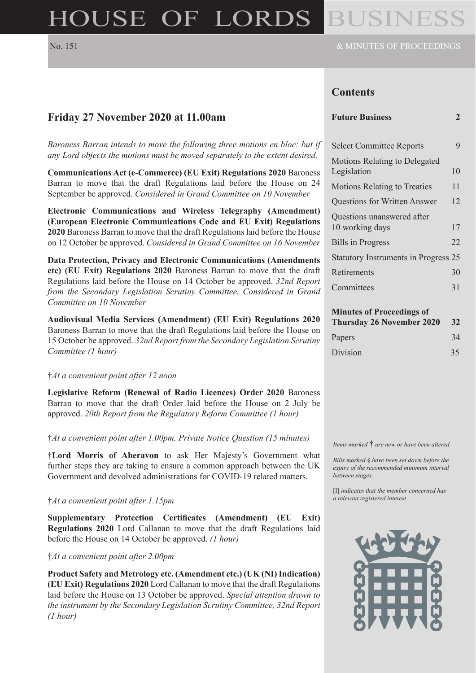# HOUSE OF LORDS

### **Contents**

# **Friday 27 November 2020 at 11.00am**

*Baroness Barran intends to move the following three motions en bloc: but if any Lord objects the motions must be moved separately to the extent desired.*

**Communications Act (e-Commerce) (EU Exit) Regulations 2020** Baroness Barran to move that the draft Regulations laid before the House on 24 September be approved. *Considered in Grand Committee on 10 November*

**Electronic Communications and Wireless Telegraphy (Amendment) (European Electronic Communications Code and EU Exit) Regulations 2020** Baroness Barran to move that the draft Regulations laid before the House on 12 October be approved. *Considered in Grand Committee on 16 November*

**Data Protection, Privacy and Electronic Communications (Amendments etc) (EU Exit) Regulations 2020** Baroness Barran to move that the draft Regulations laid before the House on 14 October be approved. *32nd Report from the Secondary Legislation Scrutiny Committee. Considered in Grand Committee on 10 November*

**Audiovisual Media Services (Amendment) (EU Exit) Regulations 2020** Baroness Barran to move that the draft Regulations laid before the House on 15 October be approved. *32nd Report from the Secondary Legislation Scrutiny Committee (1 hour)*

#### †*At a convenient point after 12 noon*

**Legislative Reform (Renewal of Radio Licences) Order 2020** Baroness Barran to move that the draft Order laid before the House on 2 July be approved. *20th Report from the Regulatory Reform Committee (1 hour)*

†*At a convenient point after 1.00pm, Private Notice Question (15 minutes)*

†**Lord Morris of Aberavon** to ask Her Majesty's Government what further steps they are taking to ensure a common approach between the UK Government and devolved administrations for COVID-19 related matters.

#### †*At a convenient point after 1.15pm*

**Supplementary Protection Certificates (Amendment) (EU Exit) Regulations 2020** Lord Callanan to move that the draft Regulations laid before the House on 14 October be approved. *(1 hour)*

#### †*At a convenient point after 2.00pm*

**Product Safety and Metrology etc. (Amendment etc.) (UK (NI) Indication) (EU Exit) Regulations 2020** Lord Callanan to move that the draft Regulations laid before the House on 13 October be approved. *Special attention drawn to the instrument by the Secondary Legislation Scrutiny Committee, 32nd Report (1 hour)*

| <b>Future Business</b> |  |
|------------------------|--|
|                        |  |

| <b>Select Committee Reports</b>               |    |
|-----------------------------------------------|----|
| Motions Relating to Delegated<br>Legislation  | 10 |
| <b>Motions Relating to Treaties</b>           | 11 |
| <b>Questions for Written Answer</b>           | 12 |
| Questions unanswered after<br>10 working days | 17 |
| <b>Bills in Progress</b>                      | 22 |
| <b>Statutory Instruments in Progress 25</b>   |    |
| Retirements                                   | 30 |
| Committees                                    | 31 |

#### **Minutes of Proceedings of**

| <b>Thursday 26 November 2020</b> | <b>32</b> |
|----------------------------------|-----------|
| Papers                           | 34        |
| <b>Division</b>                  | 35        |

*Items marked* † *are new or have been altered*

*Bills marked* § *have been set down before the expiry of the recommended minimum interval between stages.*

[I] *indicates that the member concerned has a relevant registered interest.*

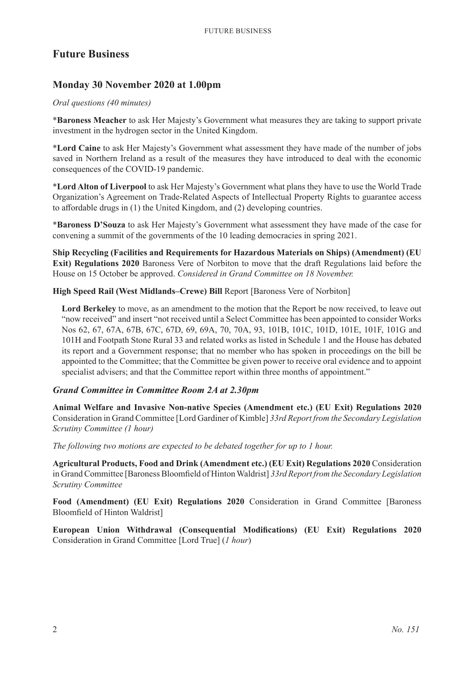# **Future Business**

# **Monday 30 November 2020 at 1.00pm**

#### *Oral questions (40 minutes)*

\***Baroness Meacher** to ask Her Majesty's Government what measures they are taking to support private investment in the hydrogen sector in the United Kingdom.

\***Lord Caine** to ask Her Majesty's Government what assessment they have made of the number of jobs saved in Northern Ireland as a result of the measures they have introduced to deal with the economic consequences of the COVID-19 pandemic.

\***Lord Alton of Liverpool** to ask Her Majesty's Government what plans they have to use the World Trade Organization's Agreement on Trade-Related Aspects of Intellectual Property Rights to guarantee access to affordable drugs in (1) the United Kingdom, and (2) developing countries.

\***Baroness D'Souza** to ask Her Majesty's Government what assessment they have made of the case for convening a summit of the governments of the 10 leading democracies in spring 2021.

**Ship Recycling (Facilities and Requirements for Hazardous Materials on Ships) (Amendment) (EU Exit) Regulations 2020** Baroness Vere of Norbiton to move that the draft Regulations laid before the House on 15 October be approved. *Considered in Grand Committee on 18 November.*

**High Speed Rail (West Midlands–Crewe) Bill** Report [Baroness Vere of Norbiton]

**Lord Berkeley** to move, as an amendment to the motion that the Report be now received, to leave out "now received" and insert "not received until a Select Committee has been appointed to consider Works Nos 62, 67, 67A, 67B, 67C, 67D, 69, 69A, 70, 70A, 93, 101B, 101C, 101D, 101E, 101F, 101G and 101H and Footpath Stone Rural 33 and related works as listed in Schedule 1 and the House has debated its report and a Government response; that no member who has spoken in proceedings on the bill be appointed to the Committee; that the Committee be given power to receive oral evidence and to appoint specialist advisers; and that the Committee report within three months of appointment."

#### *Grand Committee in Committee Room 2A at 2.30pm*

**Animal Welfare and Invasive Non-native Species (Amendment etc.) (EU Exit) Regulations 2020** Consideration in Grand Committee [Lord Gardiner of Kimble] *33rd Report from the Secondary Legislation Scrutiny Committee (1 hour)*

*The following two motions are expected to be debated together for up to 1 hour.*

**Agricultural Products, Food and Drink (Amendment etc.) (EU Exit) Regulations 2020** Consideration in Grand Committee [Baroness Bloomfield of Hinton Waldrist] *33rd Report from the Secondary Legislation Scrutiny Committee*

**Food (Amendment) (EU Exit) Regulations 2020** Consideration in Grand Committee [Baroness Bloomfield of Hinton Waldrist]

**European Union Withdrawal (Consequential Modifications) (EU Exit) Regulations 2020** Consideration in Grand Committee [Lord True] (*1 hour*)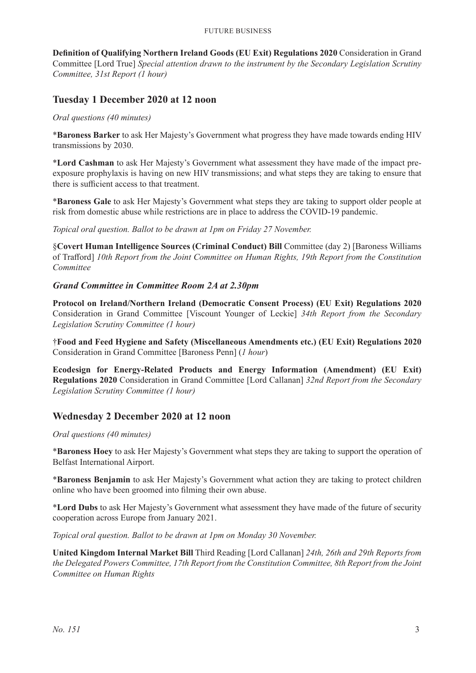**Definition of Qualifying Northern Ireland Goods (EU Exit) Regulations 2020** Consideration in Grand Committee [Lord True] *Special attention drawn to the instrument by the Secondary Legislation Scrutiny Committee, 31st Report (1 hour)*

# **Tuesday 1 December 2020 at 12 noon**

*Oral questions (40 minutes)*

\***Baroness Barker** to ask Her Majesty's Government what progress they have made towards ending HIV transmissions by 2030.

\***Lord Cashman** to ask Her Majesty's Government what assessment they have made of the impact preexposure prophylaxis is having on new HIV transmissions; and what steps they are taking to ensure that there is sufficient access to that treatment.

\***Baroness Gale** to ask Her Majesty's Government what steps they are taking to support older people at risk from domestic abuse while restrictions are in place to address the COVID-19 pandemic.

*Topical oral question. Ballot to be drawn at 1pm on Friday 27 November.*

§**Covert Human Intelligence Sources (Criminal Conduct) Bill** Committee (day 2) [Baroness Williams of Trafford] *10th Report from the Joint Committee on Human Rights, 19th Report from the Constitution Committee*

#### *Grand Committee in Committee Room 2A at 2.30pm*

**Protocol on Ireland/Northern Ireland (Democratic Consent Process) (EU Exit) Regulations 2020** Consideration in Grand Committee [Viscount Younger of Leckie] *34th Report from the Secondary Legislation Scrutiny Committee (1 hour)*

†**Food and Feed Hygiene and Safety (Miscellaneous Amendments etc.) (EU Exit) Regulations 2020** Consideration in Grand Committee [Baroness Penn] (*1 hour*)

**Ecodesign for Energy-Related Products and Energy Information (Amendment) (EU Exit) Regulations 2020** Consideration in Grand Committee [Lord Callanan] *32nd Report from the Secondary Legislation Scrutiny Committee (1 hour)*

# **Wednesday 2 December 2020 at 12 noon**

*Oral questions (40 minutes)*

\***Baroness Hoey** to ask Her Majesty's Government what steps they are taking to support the operation of Belfast International Airport.

\***Baroness Benjamin** to ask Her Majesty's Government what action they are taking to protect children online who have been groomed into filming their own abuse.

\***Lord Dubs** to ask Her Majesty's Government what assessment they have made of the future of security cooperation across Europe from January 2021.

*Topical oral question. Ballot to be drawn at 1pm on Monday 30 November.*

**United Kingdom Internal Market Bill** Third Reading [Lord Callanan] *24th, 26th and 29th Reports from the Delegated Powers Committee, 17th Report from the Constitution Committee, 8th Report from the Joint Committee on Human Rights*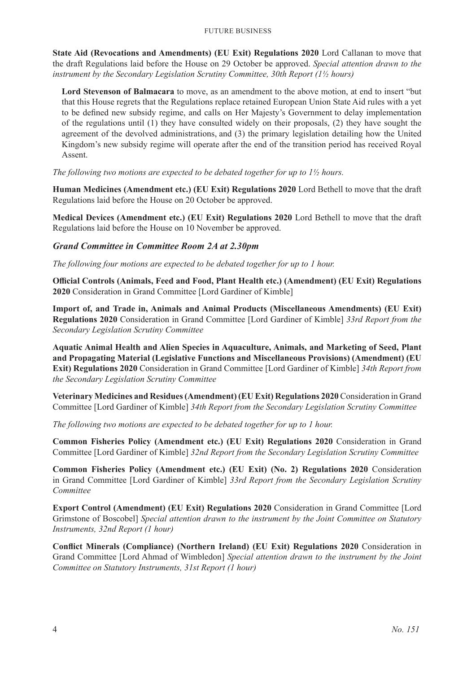**State Aid (Revocations and Amendments) (EU Exit) Regulations 2020** Lord Callanan to move that the draft Regulations laid before the House on 29 October be approved. *Special attention drawn to the instrument by the Secondary Legislation Scrutiny Committee, 30th Report (1½ hours)*

**Lord Stevenson of Balmacara** to move, as an amendment to the above motion, at end to insert "but that this House regrets that the Regulations replace retained European Union State Aid rules with a yet to be defined new subsidy regime, and calls on Her Majesty's Government to delay implementation of the regulations until (1) they have consulted widely on their proposals, (2) they have sought the agreement of the devolved administrations, and (3) the primary legislation detailing how the United Kingdom's new subsidy regime will operate after the end of the transition period has received Royal Assent.

*The following two motions are expected to be debated together for up to 1½ hours.*

**Human Medicines (Amendment etc.) (EU Exit) Regulations 2020** Lord Bethell to move that the draft Regulations laid before the House on 20 October be approved.

**Medical Devices (Amendment etc.) (EU Exit) Regulations 2020** Lord Bethell to move that the draft Regulations laid before the House on 10 November be approved.

#### *Grand Committee in Committee Room 2A at 2.30pm*

*The following four motions are expected to be debated together for up to 1 hour.*

**Official Controls (Animals, Feed and Food, Plant Health etc.) (Amendment) (EU Exit) Regulations 2020** Consideration in Grand Committee [Lord Gardiner of Kimble]

**Import of, and Trade in, Animals and Animal Products (Miscellaneous Amendments) (EU Exit) Regulations 2020** Consideration in Grand Committee [Lord Gardiner of Kimble] *33rd Report from the Secondary Legislation Scrutiny Committee*

**Aquatic Animal Health and Alien Species in Aquaculture, Animals, and Marketing of Seed, Plant and Propagating Material (Legislative Functions and Miscellaneous Provisions) (Amendment) (EU Exit) Regulations 2020** Consideration in Grand Committee [Lord Gardiner of Kimble] *34th Report from the Secondary Legislation Scrutiny Committee*

**Veterinary Medicines and Residues (Amendment) (EU Exit) Regulations 2020** Consideration in Grand Committee [Lord Gardiner of Kimble] *34th Report from the Secondary Legislation Scrutiny Committee*

*The following two motions are expected to be debated together for up to 1 hour.*

**Common Fisheries Policy (Amendment etc.) (EU Exit) Regulations 2020** Consideration in Grand Committee [Lord Gardiner of Kimble] *32nd Report from the Secondary Legislation Scrutiny Committee*

**Common Fisheries Policy (Amendment etc.) (EU Exit) (No. 2) Regulations 2020** Consideration in Grand Committee [Lord Gardiner of Kimble] *33rd Report from the Secondary Legislation Scrutiny Committee*

**Export Control (Amendment) (EU Exit) Regulations 2020** Consideration in Grand Committee [Lord Grimstone of Boscobel] *Special attention drawn to the instrument by the Joint Committee on Statutory Instruments, 32nd Report (1 hour)*

**Conflict Minerals (Compliance) (Northern Ireland) (EU Exit) Regulations 2020** Consideration in Grand Committee [Lord Ahmad of Wimbledon] *Special attention drawn to the instrument by the Joint Committee on Statutory Instruments, 31st Report (1 hour)*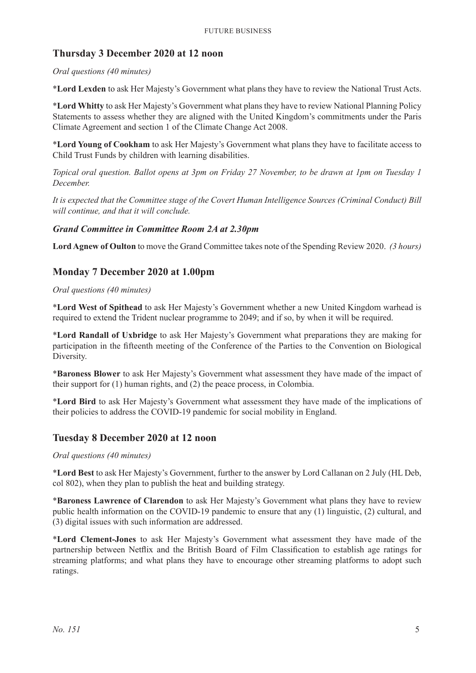# **Thursday 3 December 2020 at 12 noon**

#### *Oral questions (40 minutes)*

\***Lord Lexden** to ask Her Majesty's Government what plans they have to review the National Trust Acts.

\***Lord Whitty** to ask Her Majesty's Government what plans they have to review National Planning Policy Statements to assess whether they are aligned with the United Kingdom's commitments under the Paris Climate Agreement and section 1 of the Climate Change Act 2008.

\***Lord Young of Cookham** to ask Her Majesty's Government what plans they have to facilitate access to Child Trust Funds by children with learning disabilities.

*Topical oral question. Ballot opens at 3pm on Friday 27 November, to be drawn at 1pm on Tuesday 1 December.*

*It is expected that the Committee stage of the Covert Human Intelligence Sources (Criminal Conduct) Bill will continue, and that it will conclude.*

#### *Grand Committee in Committee Room 2A at 2.30pm*

**Lord Agnew of Oulton** to move the Grand Committee takes note of the Spending Review 2020. *(3 hours)*

# **Monday 7 December 2020 at 1.00pm**

#### *Oral questions (40 minutes)*

\***Lord West of Spithead** to ask Her Majesty's Government whether a new United Kingdom warhead is required to extend the Trident nuclear programme to 2049; and if so, by when it will be required.

\***Lord Randall of Uxbridge** to ask Her Majesty's Government what preparations they are making for participation in the fifteenth meeting of the Conference of the Parties to the Convention on Biological Diversity.

\***Baroness Blower** to ask Her Majesty's Government what assessment they have made of the impact of their support for (1) human rights, and (2) the peace process, in Colombia.

\***Lord Bird** to ask Her Majesty's Government what assessment they have made of the implications of their policies to address the COVID-19 pandemic for social mobility in England.

#### **Tuesday 8 December 2020 at 12 noon**

#### *Oral questions (40 minutes)*

\***Lord Best** to ask Her Majesty's Government, further to the answer by Lord Callanan on 2 July (HL Deb, col 802), when they plan to publish the heat and building strategy.

\***Baroness Lawrence of Clarendon** to ask Her Majesty's Government what plans they have to review public health information on the COVID-19 pandemic to ensure that any (1) linguistic, (2) cultural, and (3) digital issues with such information are addressed.

\***Lord Clement-Jones** to ask Her Majesty's Government what assessment they have made of the partnership between Netflix and the British Board of Film Classification to establish age ratings for streaming platforms; and what plans they have to encourage other streaming platforms to adopt such ratings.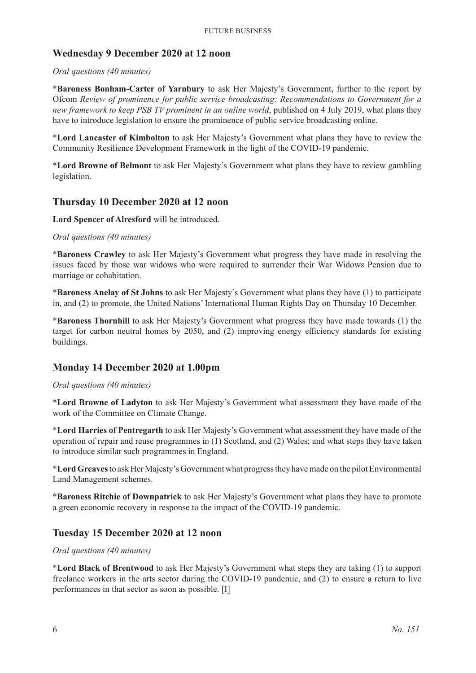#### **Wednesday 9 December 2020 at 12 noon**

#### *Oral questions (40 minutes)*

\***Baroness Bonham-Carter of Yarnbury** to ask Her Majesty's Government, further to the report by Ofcom *Review of prominence for public service broadcasting: Recommendations to Government for a new framework to keep PSB TV prominent in an online world*, published on 4 July 2019, what plans they have to introduce legislation to ensure the prominence of public service broadcasting online.

\***Lord Lancaster of Kimbolton** to ask Her Majesty's Government what plans they have to review the Community Resilience Development Framework in the light of the COVID-19 pandemic.

\***Lord Browne of Belmont** to ask Her Majesty's Government what plans they have to review gambling legislation.

#### **Thursday 10 December 2020 at 12 noon**

**Lord Spencer of Alresford** will be introduced.

#### *Oral questions (40 minutes)*

\***Baroness Crawley** to ask Her Majesty's Government what progress they have made in resolving the issues faced by those war widows who were required to surrender their War Widows Pension due to marriage or cohabitation.

\***Baroness Anelay of St Johns** to ask Her Majesty's Government what plans they have (1) to participate in, and (2) to promote, the United Nations' International Human Rights Day on Thursday 10 December.

\***Baroness Thornhill** to ask Her Majesty's Government what progress they have made towards (1) the target for carbon neutral homes by 2050, and (2) improving energy efficiency standards for existing buildings.

#### **Monday 14 December 2020 at 1.00pm**

#### *Oral questions (40 minutes)*

\***Lord Browne of Ladyton** to ask Her Majesty's Government what assessment they have made of the work of the Committee on Climate Change.

\***Lord Harries of Pentregarth** to ask Her Majesty's Government what assessment they have made of the operation of repair and reuse programmes in (1) Scotland, and (2) Wales; and what steps they have taken to introduce similar such programmes in England.

\***Lord Greaves**to ask Her Majesty's Government what progress they have made on the pilot Environmental Land Management schemes.

\***Baroness Ritchie of Downpatrick** to ask Her Majesty's Government what plans they have to promote a green economic recovery in response to the impact of the COVID-19 pandemic.

#### **Tuesday 15 December 2020 at 12 noon**

#### *Oral questions (40 minutes)*

\***Lord Black of Brentwood** to ask Her Majesty's Government what steps they are taking (1) to support freelance workers in the arts sector during the COVID-19 pandemic, and (2) to ensure a return to live performances in that sector as soon as possible. [I]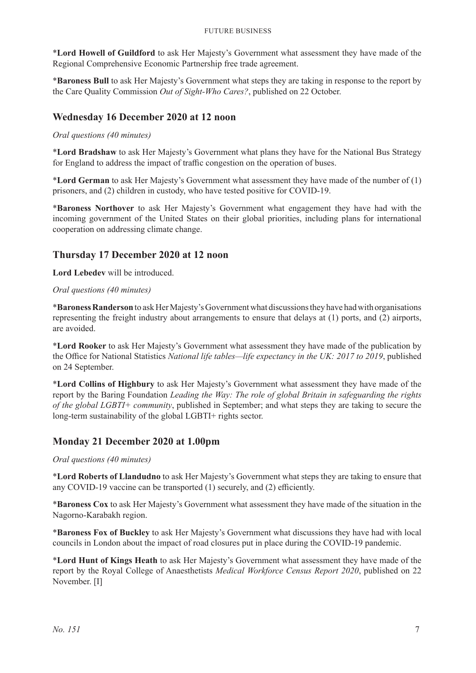#### Future Business

\***Lord Howell of Guildford** to ask Her Majesty's Government what assessment they have made of the Regional Comprehensive Economic Partnership free trade agreement.

\***Baroness Bull** to ask Her Majesty's Government what steps they are taking in response to the report by the Care Quality Commission *Out of Sight-Who Cares?*, published on 22 October.

#### **Wednesday 16 December 2020 at 12 noon**

#### *Oral questions (40 minutes)*

\***Lord Bradshaw** to ask Her Majesty's Government what plans they have for the National Bus Strategy for England to address the impact of traffic congestion on the operation of buses.

\***Lord German** to ask Her Majesty's Government what assessment they have made of the number of (1) prisoners, and (2) children in custody, who have tested positive for COVID-19.

\***Baroness Northover** to ask Her Majesty's Government what engagement they have had with the incoming government of the United States on their global priorities, including plans for international cooperation on addressing climate change.

#### **Thursday 17 December 2020 at 12 noon**

**Lord Lebedev** will be introduced.

#### *Oral questions (40 minutes)*

\***Baroness Randerson**to ask Her Majesty's Government what discussions they have had with organisations representing the freight industry about arrangements to ensure that delays at (1) ports, and (2) airports, are avoided.

\***Lord Rooker** to ask Her Majesty's Government what assessment they have made of the publication by the Office for National Statistics *National life tables—life expectancy in the UK: 2017 to 2019*, published on 24 September.

\***Lord Collins of Highbury** to ask Her Majesty's Government what assessment they have made of the report by the Baring Foundation *Leading the Way: The role of global Britain in safeguarding the rights of the global LGBTI+ community*, published in September; and what steps they are taking to secure the long-term sustainability of the global LGBTI+ rights sector.

#### **Monday 21 December 2020 at 1.00pm**

#### *Oral questions (40 minutes)*

\***Lord Roberts of Llandudno** to ask Her Majesty's Government what steps they are taking to ensure that any COVID-19 vaccine can be transported (1) securely, and (2) efficiently.

\***Baroness Cox** to ask Her Majesty's Government what assessment they have made of the situation in the Nagorno-Karabakh region.

\***Baroness Fox of Buckley** to ask Her Majesty's Government what discussions they have had with local councils in London about the impact of road closures put in place during the COVID-19 pandemic.

\***Lord Hunt of Kings Heath** to ask Her Majesty's Government what assessment they have made of the report by the Royal College of Anaesthetists *Medical Workforce Census Report 2020*, published on 22 November. [I]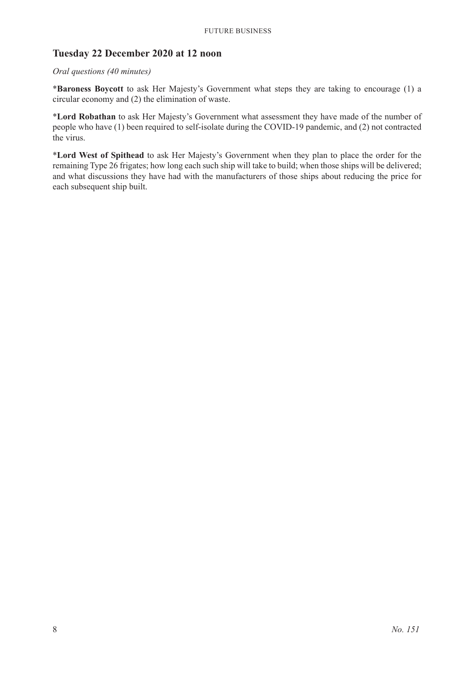# **Tuesday 22 December 2020 at 12 noon**

#### *Oral questions (40 minutes)*

\***Baroness Boycott** to ask Her Majesty's Government what steps they are taking to encourage (1) a circular economy and (2) the elimination of waste.

\***Lord Robathan** to ask Her Majesty's Government what assessment they have made of the number of people who have (1) been required to self-isolate during the COVID-19 pandemic, and (2) not contracted the virus.

\***Lord West of Spithead** to ask Her Majesty's Government when they plan to place the order for the remaining Type 26 frigates; how long each such ship will take to build; when those ships will be delivered; and what discussions they have had with the manufacturers of those ships about reducing the price for each subsequent ship built.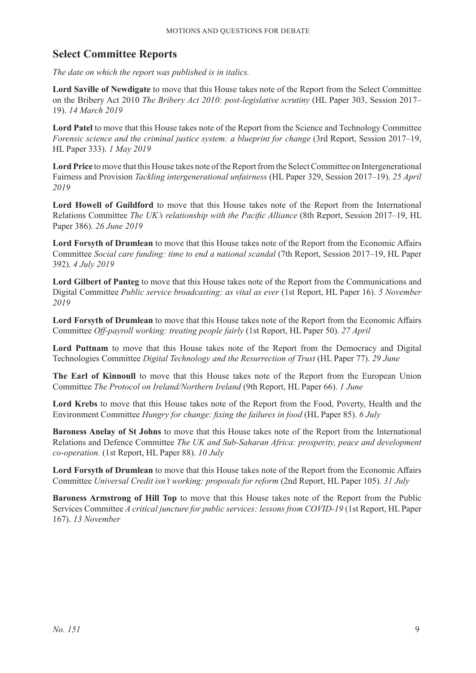# **Select Committee Reports**

*The date on which the report was published is in italics.*

**Lord Saville of Newdigate** to move that this House takes note of the Report from the Select Committee on the Bribery Act 2010 *The Bribery Act 2010: post-legislative scrutiny* (HL Paper 303, Session 2017– 19). *14 March 2019*

**Lord Patel** to move that this House takes note of the Report from the Science and Technology Committee *Forensic science and the criminal justice system: a blueprint for change* (3rd Report, Session 2017–19, HL Paper 333). *1 May 2019*

**Lord Price** to move that this House takes note of the Report from the Select Committee on Intergenerational Fairness and Provision *Tackling intergenerational unfairness* (HL Paper 329, Session 2017–19). *25 April 2019*

**Lord Howell of Guildford** to move that this House takes note of the Report from the International Relations Committee *The UK's relationship with the Pacific Alliance* (8th Report, Session 2017–19, HL Paper 386). *26 June 2019*

**Lord Forsyth of Drumlean** to move that this House takes note of the Report from the Economic Affairs Committee *Social care funding: time to end a national scandal* (7th Report, Session 2017–19, HL Paper 392). *4 July 2019*

**Lord Gilbert of Panteg** to move that this House takes note of the Report from the Communications and Digital Committee *Public service broadcasting: as vital as ever* (1st Report, HL Paper 16). *5 November 2019*

**Lord Forsyth of Drumlean** to move that this House takes note of the Report from the Economic Affairs Committee *Off-payroll working: treating people fairly* (1st Report, HL Paper 50). *27 April*

**Lord Puttnam** to move that this House takes note of the Report from the Democracy and Digital Technologies Committee *Digital Technology and the Resurrection of Trust* (HL Paper 77). *29 June*

**The Earl of Kinnoull** to move that this House takes note of the Report from the European Union Committee *The Protocol on Ireland/Northern Ireland* (9th Report, HL Paper 66). *1 June*

**Lord Krebs** to move that this House takes note of the Report from the Food, Poverty, Health and the Environment Committee *Hungry for change: fixing the failures in food* (HL Paper 85). *6 July*

**Baroness Anelay of St Johns** to move that this House takes note of the Report from the International Relations and Defence Committee *The UK and Sub-Saharan Africa: prosperity, peace and development co-operation.* (1st Report, HL Paper 88). *10 July*

**Lord Forsyth of Drumlean** to move that this House takes note of the Report from the Economic Affairs Committee *Universal Credit isn't working: proposals for reform* (2nd Report, HL Paper 105). *31 July*

**Baroness Armstrong of Hill Top** to move that this House takes note of the Report from the Public Services Committee *A critical juncture for public services: lessons from COVID-19* (1st Report, HL Paper 167). *13 November*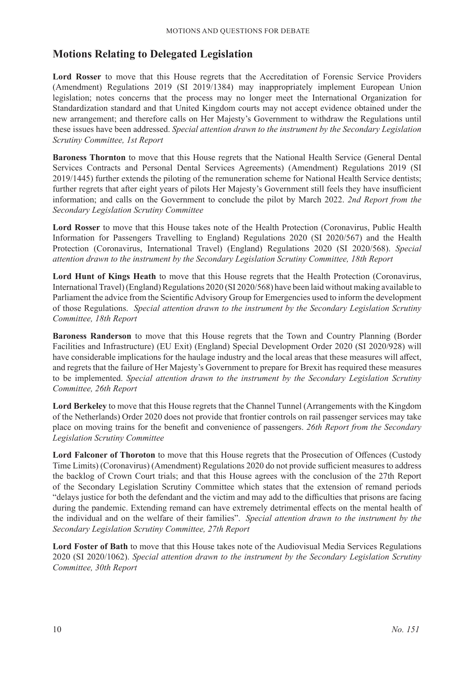# **Motions Relating to Delegated Legislation**

**Lord Rosser** to move that this House regrets that the Accreditation of Forensic Service Providers (Amendment) Regulations 2019 (SI 2019/1384) may inappropriately implement European Union legislation; notes concerns that the process may no longer meet the International Organization for Standardization standard and that United Kingdom courts may not accept evidence obtained under the new arrangement; and therefore calls on Her Majesty's Government to withdraw the Regulations until these issues have been addressed. *Special attention drawn to the instrument by the Secondary Legislation Scrutiny Committee, 1st Report*

**Baroness Thornton** to move that this House regrets that the National Health Service (General Dental Services Contracts and Personal Dental Services Agreements) (Amendment) Regulations 2019 (SI 2019/1445) further extends the piloting of the remuneration scheme for National Health Service dentists; further regrets that after eight years of pilots Her Majesty's Government still feels they have insufficient information; and calls on the Government to conclude the pilot by March 2022. *2nd Report from the Secondary Legislation Scrutiny Committee*

**Lord Rosser** to move that this House takes note of the Health Protection (Coronavirus, Public Health Information for Passengers Travelling to England) Regulations 2020 (SI 2020/567) and the Health Protection (Coronavirus, International Travel) (England) Regulations 2020 (SI 2020/568). *Special attention drawn to the instrument by the Secondary Legislation Scrutiny Committee, 18th Report*

**Lord Hunt of Kings Heath** to move that this House regrets that the Health Protection (Coronavirus, International Travel) (England) Regulations 2020 (SI 2020/568) have been laid without making available to Parliament the advice from the Scientific Advisory Group for Emergencies used to inform the development of those Regulations. *Special attention drawn to the instrument by the Secondary Legislation Scrutiny Committee, 18th Report*

**Baroness Randerson** to move that this House regrets that the Town and Country Planning (Border Facilities and Infrastructure) (EU Exit) (England) Special Development Order 2020 (SI 2020/928) will have considerable implications for the haulage industry and the local areas that these measures will affect, and regrets that the failure of Her Majesty's Government to prepare for Brexit has required these measures to be implemented. *Special attention drawn to the instrument by the Secondary Legislation Scrutiny Committee, 26th Report*

**Lord Berkeley** to move that this House regrets that the Channel Tunnel (Arrangements with the Kingdom of the Netherlands) Order 2020 does not provide that frontier controls on rail passenger services may take place on moving trains for the benefit and convenience of passengers. *26th Report from the Secondary Legislation Scrutiny Committee*

**Lord Falconer of Thoroton** to move that this House regrets that the Prosecution of Offences (Custody Time Limits) (Coronavirus) (Amendment) Regulations 2020 do not provide sufficient measures to address the backlog of Crown Court trials; and that this House agrees with the conclusion of the 27th Report of the Secondary Legislation Scrutiny Committee which states that the extension of remand periods "delays justice for both the defendant and the victim and may add to the difficulties that prisons are facing during the pandemic. Extending remand can have extremely detrimental effects on the mental health of the individual and on the welfare of their families". *Special attention drawn to the instrument by the Secondary Legislation Scrutiny Committee, 27th Report*

**Lord Foster of Bath** to move that this House takes note of the Audiovisual Media Services Regulations 2020 (SI 2020/1062). *Special attention drawn to the instrument by the Secondary Legislation Scrutiny Committee, 30th Report*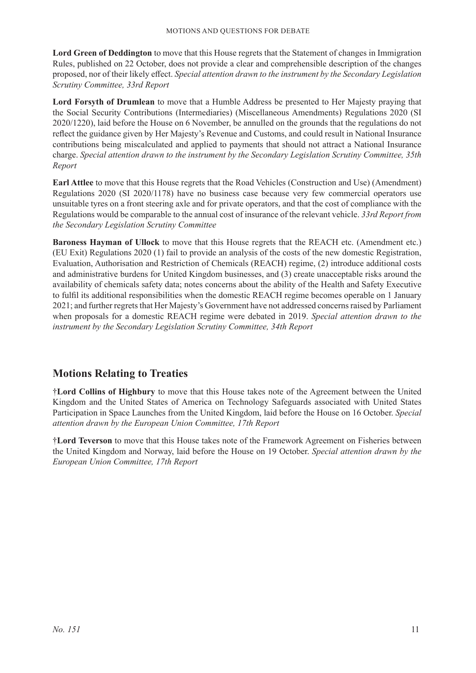**Lord Green of Deddington** to move that this House regrets that the Statement of changes in Immigration Rules, published on 22 October, does not provide a clear and comprehensible description of the changes proposed, nor of their likely effect. *Special attention drawn to the instrument by the Secondary Legislation Scrutiny Committee, 33rd Report*

**Lord Forsyth of Drumlean** to move that a Humble Address be presented to Her Majesty praying that the Social Security Contributions (Intermediaries) (Miscellaneous Amendments) Regulations 2020 (SI 2020/1220), laid before the House on 6 November, be annulled on the grounds that the regulations do not reflect the guidance given by Her Majesty's Revenue and Customs, and could result in National Insurance contributions being miscalculated and applied to payments that should not attract a National Insurance charge. *Special attention drawn to the instrument by the Secondary Legislation Scrutiny Committee, 35th Report*

**Earl Attlee** to move that this House regrets that the Road Vehicles (Construction and Use) (Amendment) Regulations 2020 (SI 2020/1178) have no business case because very few commercial operators use unsuitable tyres on a front steering axle and for private operators, and that the cost of compliance with the Regulations would be comparable to the annual cost of insurance of the relevant vehicle. *33rd Report from the Secondary Legislation Scrutiny Committee*

**Baroness Hayman of Ullock** to move that this House regrets that the REACH etc. (Amendment etc.) (EU Exit) Regulations 2020 (1) fail to provide an analysis of the costs of the new domestic Registration, Evaluation, Authorisation and Restriction of Chemicals (REACH) regime, (2) introduce additional costs and administrative burdens for United Kingdom businesses, and (3) create unacceptable risks around the availability of chemicals safety data; notes concerns about the ability of the Health and Safety Executive to fulfil its additional responsibilities when the domestic REACH regime becomes operable on 1 January 2021; and further regrets that Her Majesty's Government have not addressed concerns raised by Parliament when proposals for a domestic REACH regime were debated in 2019. *Special attention drawn to the instrument by the Secondary Legislation Scrutiny Committee, 34th Report*

# **Motions Relating to Treaties**

†**Lord Collins of Highbury** to move that this House takes note of the Agreement between the United Kingdom and the United States of America on Technology Safeguards associated with United States Participation in Space Launches from the United Kingdom, laid before the House on 16 October. *Special attention drawn by the European Union Committee, 17th Report*

†**Lord Teverson** to move that this House takes note of the Framework Agreement on Fisheries between the United Kingdom and Norway, laid before the House on 19 October. *Special attention drawn by the European Union Committee, 17th Report*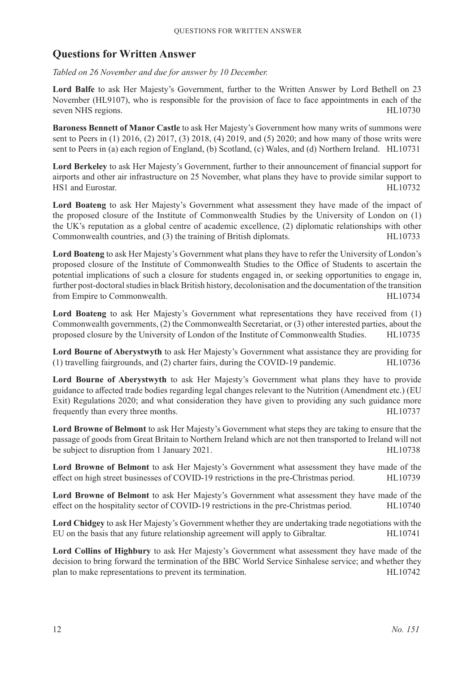# **Questions for Written Answer**

*Tabled on 26 November and due for answer by 10 December.*

**Lord Balfe** to ask Her Majesty's Government, further to the Written Answer by Lord Bethell on 23 November (HL9107), who is responsible for the provision of face to face appointments in each of the seven NHS regions. HL10730

**Baroness Bennett of Manor Castle** to ask Her Majesty's Government how many writs of summons were sent to Peers in (1) 2016, (2) 2017, (3) 2018, (4) 2019, and (5) 2020; and how many of those writs were sent to Peers in (a) each region of England, (b) Scotland, (c) Wales, and (d) Northern Ireland. HL10731

**Lord Berkeley** to ask Her Majesty's Government, further to their announcement of financial support for airports and other air infrastructure on 25 November, what plans they have to provide similar support to HS1 and Eurostar. HL10732

**Lord Boateng** to ask Her Majesty's Government what assessment they have made of the impact of the proposed closure of the Institute of Commonwealth Studies by the University of London on (1) the UK's reputation as a global centre of academic excellence, (2) diplomatic relationships with other Commonwealth countries, and (3) the training of British diplomats. HL10733

**Lord Boateng** to ask Her Majesty's Government what plans they have to refer the University of London's proposed closure of the Institute of Commonwealth Studies to the Office of Students to ascertain the potential implications of such a closure for students engaged in, or seeking opportunities to engage in, further post-doctoral studies in black British history, decolonisation and the documentation of the transition from Empire to Commonwealth. HL10734

**Lord Boateng** to ask Her Majesty's Government what representations they have received from (1) Commonwealth governments, (2) the Commonwealth Secretariat, or (3) other interested parties, about the proposed closure by the University of London of the Institute of Commonwealth Studies. HL10735

**Lord Bourne of Aberystwyth** to ask Her Majesty's Government what assistance they are providing for (1) travelling fairgrounds, and (2) charter fairs, during the COVID-19 pandemic. HL10736

**Lord Bourne of Aberystwyth** to ask Her Majesty's Government what plans they have to provide guidance to affected trade bodies regarding legal changes relevant to the Nutrition (Amendment etc.) (EU Exit) Regulations 2020; and what consideration they have given to providing any such guidance more frequently than every three months. HL10737

**Lord Browne of Belmont** to ask Her Majesty's Government what steps they are taking to ensure that the passage of goods from Great Britain to Northern Ireland which are not then transported to Ireland will not be subject to disruption from 1 January 2021. HL10738

**Lord Browne of Belmont** to ask Her Majesty's Government what assessment they have made of the effect on high street businesses of COVID-19 restrictions in the pre-Christmas period. HL10739

**Lord Browne of Belmont** to ask Her Majesty's Government what assessment they have made of the effect on the hospitality sector of COVID-19 restrictions in the pre-Christmas period. HL10740

**Lord Chidgey** to ask Her Majesty's Government whether they are undertaking trade negotiations with the EU on the basis that any future relationship agreement will apply to Gibraltar. HL10741

**Lord Collins of Highbury** to ask Her Majesty's Government what assessment they have made of the decision to bring forward the termination of the BBC World Service Sinhalese service; and whether they plan to make representations to prevent its termination. HL10742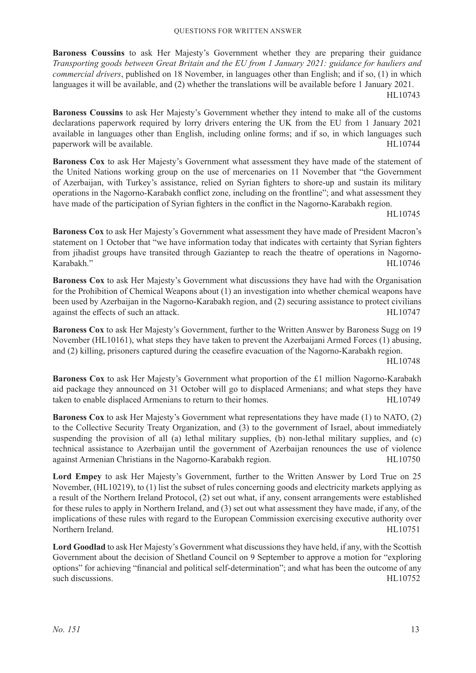**Baroness Coussins** to ask Her Majesty's Government whether they are preparing their guidance *Transporting goods between Great Britain and the EU from 1 January 2021: guidance for hauliers and commercial drivers*, published on 18 November, in languages other than English; and if so, (1) in which languages it will be available, and (2) whether the translations will be available before 1 January 2021. HL10743

**Baroness Coussins** to ask Her Majesty's Government whether they intend to make all of the customs declarations paperwork required by lorry drivers entering the UK from the EU from 1 January 2021 available in languages other than English, including online forms; and if so, in which languages such paperwork will be available. HL10744

**Baroness Cox** to ask Her Majesty's Government what assessment they have made of the statement of the United Nations working group on the use of mercenaries on 11 November that "the Government of Azerbaijan, with Turkey's assistance, relied on Syrian fighters to shore-up and sustain its military operations in the Nagorno-Karabakh conflict zone, including on the frontline"; and what assessment they have made of the participation of Syrian fighters in the conflict in the Nagorno-Karabakh region.

HL10745

**Baroness Cox** to ask Her Majesty's Government what assessment they have made of President Macron's statement on 1 October that "we have information today that indicates with certainty that Syrian fighters from jihadist groups have transited through Gaziantep to reach the theatre of operations in Nagorno-Karabakh." HL10746

**Baroness Cox** to ask Her Majesty's Government what discussions they have had with the Organisation for the Prohibition of Chemical Weapons about (1) an investigation into whether chemical weapons have been used by Azerbaijan in the Nagorno-Karabakh region, and (2) securing assistance to protect civilians against the effects of such an attack. HL10747

**Baroness Cox** to ask Her Majesty's Government, further to the Written Answer by Baroness Sugg on 19 November (HL10161), what steps they have taken to prevent the Azerbaijani Armed Forces (1) abusing, and (2) killing, prisoners captured during the ceasefire evacuation of the Nagorno-Karabakh region.

HL10748

**Baroness Cox** to ask Her Majesty's Government what proportion of the £1 million Nagorno-Karabakh aid package they announced on 31 October will go to displaced Armenians; and what steps they have taken to enable displaced Armenians to return to their homes. HL10749

**Baroness Cox** to ask Her Majesty's Government what representations they have made (1) to NATO, (2) to the Collective Security Treaty Organization, and (3) to the government of Israel, about immediately suspending the provision of all (a) lethal military supplies, (b) non-lethal military supplies, and (c) technical assistance to Azerbaijan until the government of Azerbaijan renounces the use of violence against Armenian Christians in the Nagorno-Karabakh region. HL10750

**Lord Empey** to ask Her Majesty's Government, further to the Written Answer by Lord True on 25 November, (HL10219), to (1) list the subset of rules concerning goods and electricity markets applying as a result of the Northern Ireland Protocol, (2) set out what, if any, consent arrangements were established for these rules to apply in Northern Ireland, and (3) set out what assessment they have made, if any, of the implications of these rules with regard to the European Commission exercising executive authority over Northern Ireland. HL10751

**Lord Goodlad** to ask Her Majesty's Government what discussions they have held, if any, with the Scottish Government about the decision of Shetland Council on 9 September to approve a motion for "exploring options" for achieving "financial and political self-determination"; and what has been the outcome of any such discussions. HL10752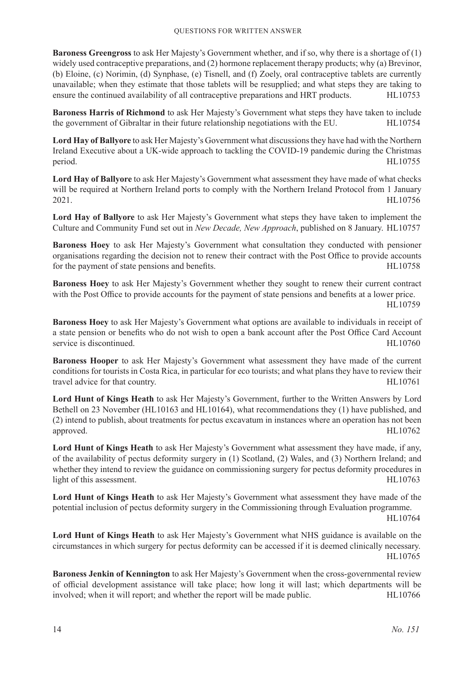**Baroness Greengross** to ask Her Majesty's Government whether, and if so, why there is a shortage of (1) widely used contraceptive preparations, and (2) hormone replacement therapy products; why (a) Brevinor, (b) Eloine, (c) Norimin, (d) Synphase, (e) Tisnell, and (f) Zoely, oral contraceptive tablets are currently unavailable; when they estimate that those tablets will be resupplied; and what steps they are taking to ensure the continued availability of all contraceptive preparations and HRT products. HL10753

**Baroness Harris of Richmond** to ask Her Majesty's Government what steps they have taken to include the government of Gibraltar in their future relationship negotiations with the EU. HL10754

**Lord Hay of Ballyore** to ask Her Majesty's Government what discussions they have had with the Northern Ireland Executive about a UK-wide approach to tackling the COVID-19 pandemic during the Christmas period. HL10755

**Lord Hay of Ballyore** to ask Her Majesty's Government what assessment they have made of what checks will be required at Northern Ireland ports to comply with the Northern Ireland Protocol from 1 January 2021. HL10756

**Lord Hay of Ballyore** to ask Her Majesty's Government what steps they have taken to implement the Culture and Community Fund set out in *New Decade, New Approach*, published on 8 January. HL10757

**Baroness Hoey** to ask Her Majesty's Government what consultation they conducted with pensioner organisations regarding the decision not to renew their contract with the Post Office to provide accounts for the payment of state pensions and benefits. HL10758

**Baroness Hoey** to ask Her Majesty's Government whether they sought to renew their current contract with the Post Office to provide accounts for the payment of state pensions and benefits at a lower price. HL10759

**Baroness Hoey** to ask Her Majesty's Government what options are available to individuals in receipt of a state pension or benefits who do not wish to open a bank account after the Post Office Card Account service is discontinued. HL10760

**Baroness Hooper** to ask Her Majesty's Government what assessment they have made of the current conditions for tourists in Costa Rica, in particular for eco tourists; and what plans they have to review their travel advice for that country. HL10761

**Lord Hunt of Kings Heath** to ask Her Majesty's Government, further to the Written Answers by Lord Bethell on 23 November (HL10163 and HL10164), what recommendations they (1) have published, and (2) intend to publish, about treatments for pectus excavatum in instances where an operation has not been approved. HL10762

**Lord Hunt of Kings Heath** to ask Her Majesty's Government what assessment they have made, if any, of the availability of pectus deformity surgery in (1) Scotland, (2) Wales, and (3) Northern Ireland; and whether they intend to review the guidance on commissioning surgery for pectus deformity procedures in light of this assessment. HL10763

**Lord Hunt of Kings Heath** to ask Her Majesty's Government what assessment they have made of the potential inclusion of pectus deformity surgery in the Commissioning through Evaluation programme.

HL10764

**Lord Hunt of Kings Heath** to ask Her Majesty's Government what NHS guidance is available on the circumstances in which surgery for pectus deformity can be accessed if it is deemed clinically necessary. HL10765

**Baroness Jenkin of Kennington** to ask Her Majesty's Government when the cross-governmental review of official development assistance will take place; how long it will last; which departments will be involved; when it will report; and whether the report will be made public. HL10766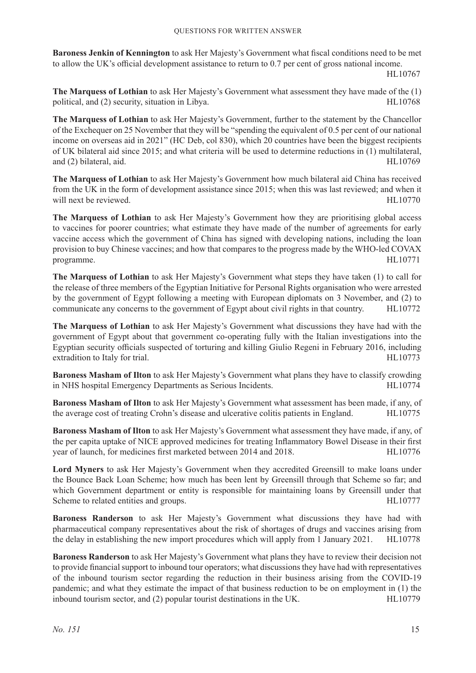**Baroness Jenkin of Kennington** to ask Her Majesty's Government what fiscal conditions need to be met to allow the UK's official development assistance to return to 0.7 per cent of gross national income.

HL10767

**The Marquess of Lothian** to ask Her Majesty's Government what assessment they have made of the (1) political, and (2) security, situation in Libya. 
HL10768

**The Marquess of Lothian** to ask Her Majesty's Government, further to the statement by the Chancellor of the Exchequer on 25 November that they will be "spending the equivalent of 0.5 per cent of our national income on overseas aid in 2021" (HC Deb, col 830), which 20 countries have been the biggest recipients of UK bilateral aid since 2015; and what criteria will be used to determine reductions in (1) multilateral, and (2) bilateral, aid. HL10769

**The Marquess of Lothian** to ask Her Majesty's Government how much bilateral aid China has received from the UK in the form of development assistance since 2015; when this was last reviewed; and when it will next be reviewed. HL10770

**The Marquess of Lothian** to ask Her Majesty's Government how they are prioritising global access to vaccines for poorer countries; what estimate they have made of the number of agreements for early vaccine access which the government of China has signed with developing nations, including the loan provision to buy Chinese vaccines; and how that compares to the progress made by the WHO-led COVAX programme. HL10771

**The Marquess of Lothian** to ask Her Majesty's Government what steps they have taken (1) to call for the release of three members of the Egyptian Initiative for Personal Rights organisation who were arrested by the government of Egypt following a meeting with European diplomats on 3 November, and (2) to communicate any concerns to the government of Egypt about civil rights in that country. HL10772

**The Marquess of Lothian** to ask Her Majesty's Government what discussions they have had with the government of Egypt about that government co-operating fully with the Italian investigations into the Egyptian security officials suspected of torturing and killing Giulio Regeni in February 2016, including extradition to Italy for trial. HL10773

**Baroness Masham of Ilton** to ask Her Majesty's Government what plans they have to classify crowding in NHS hospital Emergency Departments as Serious Incidents. HL10774

**Baroness Masham of Ilton** to ask Her Majesty's Government what assessment has been made, if any, of the average cost of treating Crohn's disease and ulcerative colitis patients in England. HL10775

**Baroness Masham of Ilton** to ask Her Majesty's Government what assessment they have made, if any, of the per capita uptake of NICE approved medicines for treating Inflammatory Bowel Disease in their first year of launch, for medicines first marketed between 2014 and 2018. HL10776

**Lord Myners** to ask Her Majesty's Government when they accredited Greensill to make loans under the Bounce Back Loan Scheme; how much has been lent by Greensill through that Scheme so far; and which Government department or entity is responsible for maintaining loans by Greensill under that Scheme to related entities and groups. The set of the set of the set of the set of the set of the set of the set of the set of the set of the set of the set of the set of the set of the set of the set of the set of the set

**Baroness Randerson** to ask Her Majesty's Government what discussions they have had with pharmaceutical company representatives about the risk of shortages of drugs and vaccines arising from the delay in establishing the new import procedures which will apply from 1 January 2021. HL10778

**Baroness Randerson** to ask Her Majesty's Government what plans they have to review their decision not to provide financial support to inbound tour operators; what discussions they have had with representatives of the inbound tourism sector regarding the reduction in their business arising from the COVID-19 pandemic; and what they estimate the impact of that business reduction to be on employment in (1) the inbound tourism sector, and (2) popular tourist destinations in the UK. HL10779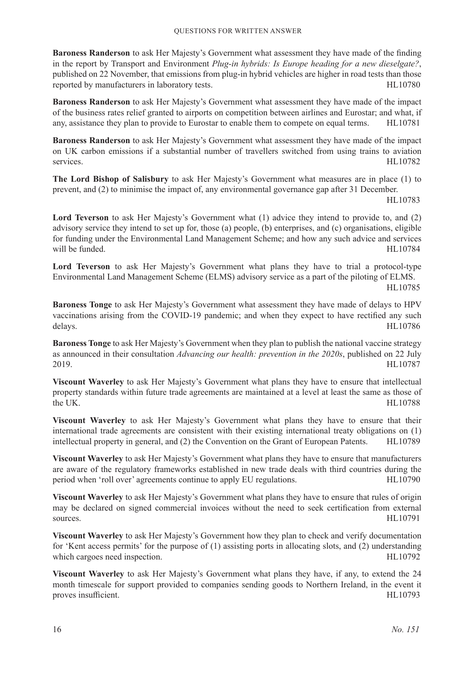**Baroness Randerson** to ask Her Majesty's Government what assessment they have made of the finding in the report by Transport and Environment *Plug-in hybrids: Is Europe heading for a new dieselgate?*, published on 22 November, that emissions from plug-in hybrid vehicles are higher in road tests than those reported by manufacturers in laboratory tests. HL10780

**Baroness Randerson** to ask Her Majesty's Government what assessment they have made of the impact of the business rates relief granted to airports on competition between airlines and Eurostar; and what, if any, assistance they plan to provide to Eurostar to enable them to compete on equal terms. HL10781

**Baroness Randerson** to ask Her Majesty's Government what assessment they have made of the impact on UK carbon emissions if a substantial number of travellers switched from using trains to aviation services. HL10782

**The Lord Bishop of Salisbury** to ask Her Majesty's Government what measures are in place (1) to prevent, and (2) to minimise the impact of, any environmental governance gap after 31 December.

HL10783

**Lord Teverson** to ask Her Majesty's Government what (1) advice they intend to provide to, and (2) advisory service they intend to set up for, those (a) people, (b) enterprises, and (c) organisations, eligible for funding under the Environmental Land Management Scheme; and how any such advice and services will be funded. HL10784

Lord Teverson to ask Her Majesty's Government what plans they have to trial a protocol-type Environmental Land Management Scheme (ELMS) advisory service as a part of the piloting of ELMS.

HL10785

**Baroness Tonge** to ask Her Majesty's Government what assessment they have made of delays to HPV vaccinations arising from the COVID-19 pandemic; and when they expect to have rectified any such delays. HL10786

**Baroness Tonge** to ask Her Majesty's Government when they plan to publish the national vaccine strategy as announced in their consultation *Advancing our health: prevention in the 2020s*, published on 22 July 2019. HL10787

**Viscount Waverley** to ask Her Majesty's Government what plans they have to ensure that intellectual property standards within future trade agreements are maintained at a level at least the same as those of the UK. HL10788

**Viscount Waverley** to ask Her Majesty's Government what plans they have to ensure that their international trade agreements are consistent with their existing international treaty obligations on (1) intellectual property in general, and (2) the Convention on the Grant of European Patents. HL10789

**Viscount Waverley** to ask Her Majesty's Government what plans they have to ensure that manufacturers are aware of the regulatory frameworks established in new trade deals with third countries during the period when 'roll over' agreements continue to apply EU regulations. HL10790

**Viscount Waverley** to ask Her Majesty's Government what plans they have to ensure that rules of origin may be declared on signed commercial invoices without the need to seek certification from external sources. HL10791

**Viscount Waverley** to ask Her Majesty's Government how they plan to check and verify documentation for 'Kent access permits' for the purpose of (1) assisting ports in allocating slots, and (2) understanding which cargoes need inspection. HL10792

**Viscount Waverley** to ask Her Majesty's Government what plans they have, if any, to extend the 24 month timescale for support provided to companies sending goods to Northern Ireland, in the event it proves insufficient. HL10793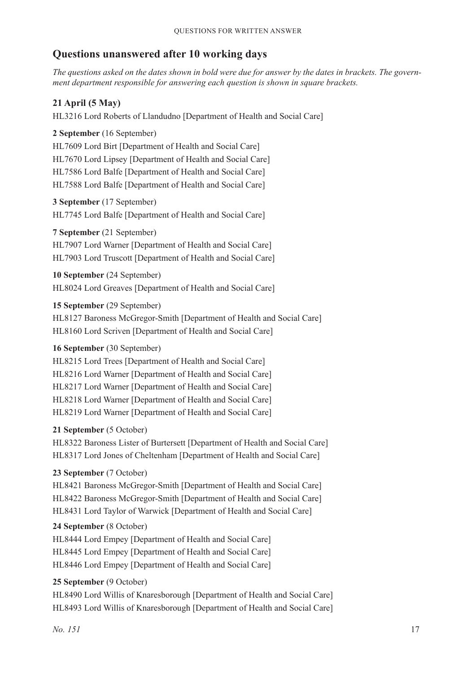# **Questions unanswered after 10 working days**

*The questions asked on the dates shown in bold were due for answer by the dates in brackets. The government department responsible for answering each question is shown in square brackets.*

# **21 April (5 May)**

HL3216 Lord Roberts of Llandudno [Department of Health and Social Care]

# **2 September** (16 September)

HL7609 Lord Birt [Department of Health and Social Care] HL7670 Lord Lipsey [Department of Health and Social Care] HL7586 Lord Balfe [Department of Health and Social Care] HL7588 Lord Balfe [Department of Health and Social Care]

**3 September** (17 September) HL7745 Lord Balfe [Department of Health and Social Care]

#### **7 September** (21 September)

HL7907 Lord Warner [Department of Health and Social Care] HL7903 Lord Truscott [Department of Health and Social Care]

**10 September** (24 September) HL8024 Lord Greaves [Department of Health and Social Care]

#### **15 September** (29 September)

HL8127 Baroness McGregor-Smith [Department of Health and Social Care] HL8160 Lord Scriven [Department of Health and Social Care]

# **16 September** (30 September)

HL8215 Lord Trees [Department of Health and Social Care] HL8216 Lord Warner [Department of Health and Social Care] HL8217 Lord Warner [Department of Health and Social Care] HL8218 Lord Warner [Department of Health and Social Care] HL8219 Lord Warner [Department of Health and Social Care]

#### **21 September** (5 October)

HL8322 Baroness Lister of Burtersett [Department of Health and Social Care] HL8317 Lord Jones of Cheltenham [Department of Health and Social Care]

# **23 September** (7 October)

HL8421 Baroness McGregor-Smith [Department of Health and Social Care] HL8422 Baroness McGregor-Smith [Department of Health and Social Care] HL8431 Lord Taylor of Warwick [Department of Health and Social Care]

#### **24 September** (8 October)

HL8444 Lord Empey [Department of Health and Social Care] HL8445 Lord Empey [Department of Health and Social Care] HL8446 Lord Empey [Department of Health and Social Care]

# **25 September** (9 October)

HL8490 Lord Willis of Knaresborough [Department of Health and Social Care] HL8493 Lord Willis of Knaresborough [Department of Health and Social Care]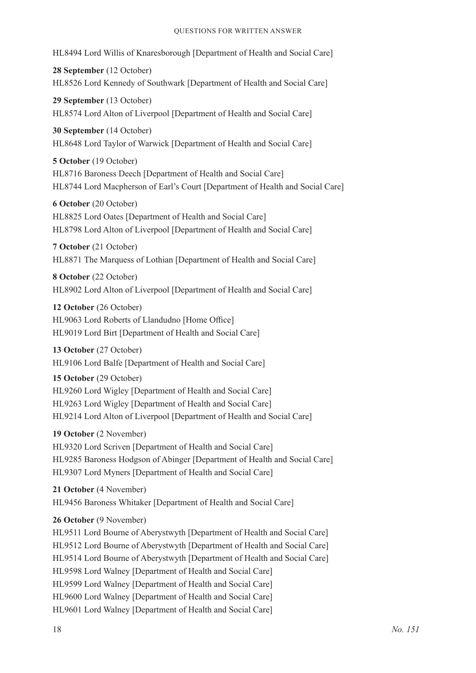#### Questions for Written Answer

HL8494 Lord Willis of Knaresborough [Department of Health and Social Care]

**28 September** (12 October) HL8526 Lord Kennedy of Southwark [Department of Health and Social Care]

**29 September** (13 October) HL8574 Lord Alton of Liverpool [Department of Health and Social Care]

**30 September** (14 October) HL8648 Lord Taylor of Warwick [Department of Health and Social Care]

**5 October** (19 October) HL8716 Baroness Deech [Department of Health and Social Care] HL8744 Lord Macpherson of Earl's Court [Department of Health and Social Care]

**6 October** (20 October) HL8825 Lord Oates [Department of Health and Social Care] HL8798 Lord Alton of Liverpool [Department of Health and Social Care]

**7 October** (21 October) HL8871 The Marquess of Lothian [Department of Health and Social Care]

**8 October** (22 October) HL8902 Lord Alton of Liverpool [Department of Health and Social Care]

**12 October** (26 October) HL9063 Lord Roberts of Llandudno [Home Office] HL9019 Lord Birt [Department of Health and Social Care]

**13 October** (27 October) HL9106 Lord Balfe [Department of Health and Social Care]

**15 October** (29 October) HL9260 Lord Wigley [Department of Health and Social Care] HL9263 Lord Wigley [Department of Health and Social Care] HL9214 Lord Alton of Liverpool [Department of Health and Social Care]

**19 October** (2 November) HL9320 Lord Scriven [Department of Health and Social Care] HL9285 Baroness Hodgson of Abinger [Department of Health and Social Care] HL9307 Lord Myners [Department of Health and Social Care]

**21 October** (4 November) HL9456 Baroness Whitaker [Department of Health and Social Care]

**26 October** (9 November)

HL9511 Lord Bourne of Aberystwyth [Department of Health and Social Care] HL9512 Lord Bourne of Aberystwyth [Department of Health and Social Care] HL9514 Lord Bourne of Aberystwyth [Department of Health and Social Care] HL9598 Lord Walney [Department of Health and Social Care] HL9599 Lord Walney [Department of Health and Social Care] HL9600 Lord Walney [Department of Health and Social Care] HL9601 Lord Walney [Department of Health and Social Care]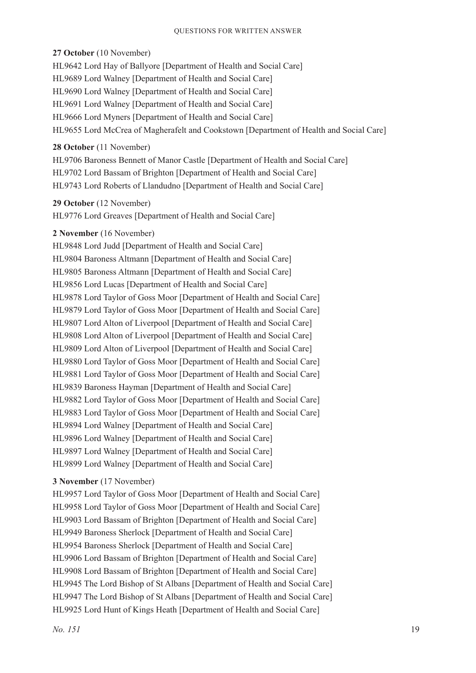#### **27 October** (10 November)

HL9642 Lord Hay of Ballyore [Department of Health and Social Care] HL9689 Lord Walney [Department of Health and Social Care] HL9690 Lord Walney [Department of Health and Social Care] HL9691 Lord Walney [Department of Health and Social Care] HL9666 Lord Myners [Department of Health and Social Care] HL9655 Lord McCrea of Magherafelt and Cookstown [Department of Health and Social Care]

#### **28 October** (11 November)

HL9706 Baroness Bennett of Manor Castle [Department of Health and Social Care] HL9702 Lord Bassam of Brighton [Department of Health and Social Care] HL9743 Lord Roberts of Llandudno [Department of Health and Social Care]

#### **29 October** (12 November)

HL9776 Lord Greaves [Department of Health and Social Care]

#### **2 November** (16 November)

HL9848 Lord Judd [Department of Health and Social Care] HL9804 Baroness Altmann [Department of Health and Social Care] HL9805 Baroness Altmann [Department of Health and Social Care] HL9856 Lord Lucas [Department of Health and Social Care] HL9878 Lord Taylor of Goss Moor [Department of Health and Social Care] HL9879 Lord Taylor of Goss Moor [Department of Health and Social Care] HL9807 Lord Alton of Liverpool [Department of Health and Social Care] HL9808 Lord Alton of Liverpool [Department of Health and Social Care] HL9809 Lord Alton of Liverpool [Department of Health and Social Care] HL9880 Lord Taylor of Goss Moor [Department of Health and Social Care] HL9881 Lord Taylor of Goss Moor [Department of Health and Social Care] HL9839 Baroness Hayman [Department of Health and Social Care] HL9882 Lord Taylor of Goss Moor [Department of Health and Social Care] HL9883 Lord Taylor of Goss Moor [Department of Health and Social Care] HL9894 Lord Walney [Department of Health and Social Care] HL9896 Lord Walney [Department of Health and Social Care] HL9897 Lord Walney [Department of Health and Social Care] HL9899 Lord Walney [Department of Health and Social Care]

#### **3 November** (17 November)

HL9957 Lord Taylor of Goss Moor [Department of Health and Social Care] HL9958 Lord Taylor of Goss Moor [Department of Health and Social Care] HL9903 Lord Bassam of Brighton [Department of Health and Social Care] HL9949 Baroness Sherlock [Department of Health and Social Care] HL9954 Baroness Sherlock [Department of Health and Social Care] HL9906 Lord Bassam of Brighton [Department of Health and Social Care] HL9908 Lord Bassam of Brighton [Department of Health and Social Care] HL9945 The Lord Bishop of St Albans [Department of Health and Social Care] HL9947 The Lord Bishop of St Albans [Department of Health and Social Care] HL9925 Lord Hunt of Kings Heath [Department of Health and Social Care]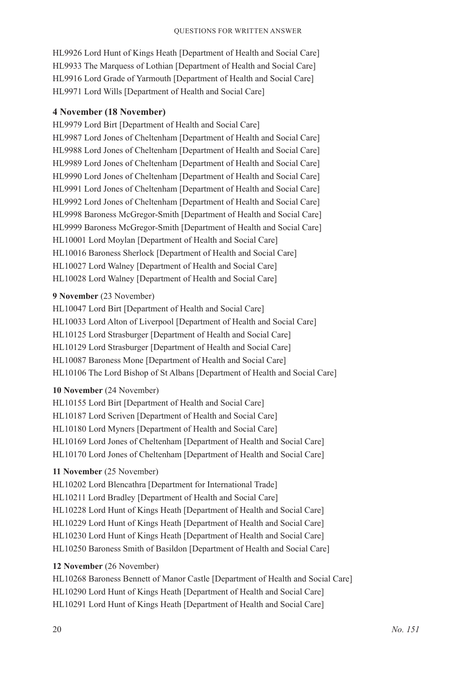HL9926 Lord Hunt of Kings Heath [Department of Health and Social Care] HL9933 The Marquess of Lothian [Department of Health and Social Care] HL9916 Lord Grade of Yarmouth [Department of Health and Social Care] HL9971 Lord Wills [Department of Health and Social Care]

#### **4 November (18 November)**

HL9979 Lord Birt [Department of Health and Social Care] HL9987 Lord Jones of Cheltenham [Department of Health and Social Care] HL9988 Lord Jones of Cheltenham [Department of Health and Social Care] HL9989 Lord Jones of Cheltenham [Department of Health and Social Care] HL9990 Lord Jones of Cheltenham [Department of Health and Social Care] HL9991 Lord Jones of Cheltenham [Department of Health and Social Care] HL9992 Lord Jones of Cheltenham [Department of Health and Social Care] HL9998 Baroness McGregor-Smith [Department of Health and Social Care] HL9999 Baroness McGregor-Smith [Department of Health and Social Care] HL10001 Lord Moylan [Department of Health and Social Care] HL10016 Baroness Sherlock [Department of Health and Social Care] HL10027 Lord Walney [Department of Health and Social Care] HL10028 Lord Walney [Department of Health and Social Care]

#### **9 November** (23 November)

HL10047 Lord Birt [Department of Health and Social Care] HL10033 Lord Alton of Liverpool [Department of Health and Social Care] HL10125 Lord Strasburger [Department of Health and Social Care] HL10129 Lord Strasburger [Department of Health and Social Care] HL10087 Baroness Mone [Department of Health and Social Care] HL10106 The Lord Bishop of St Albans [Department of Health and Social Care]

#### **10 November** (24 November)

HL10155 Lord Birt [Department of Health and Social Care] HL10187 Lord Scriven [Department of Health and Social Care] HL10180 Lord Myners [Department of Health and Social Care] HL10169 Lord Jones of Cheltenham [Department of Health and Social Care] HL10170 Lord Jones of Cheltenham [Department of Health and Social Care]

#### **11 November** (25 November)

HL10202 Lord Blencathra [Department for International Trade] HL10211 Lord Bradley [Department of Health and Social Care] HL10228 Lord Hunt of Kings Heath [Department of Health and Social Care] HL10229 Lord Hunt of Kings Heath [Department of Health and Social Care] HL10230 Lord Hunt of Kings Heath [Department of Health and Social Care] HL10250 Baroness Smith of Basildon [Department of Health and Social Care]

#### **12 November** (26 November)

HL10268 Baroness Bennett of Manor Castle [Department of Health and Social Care] HL10290 Lord Hunt of Kings Heath [Department of Health and Social Care] HL10291 Lord Hunt of Kings Heath [Department of Health and Social Care]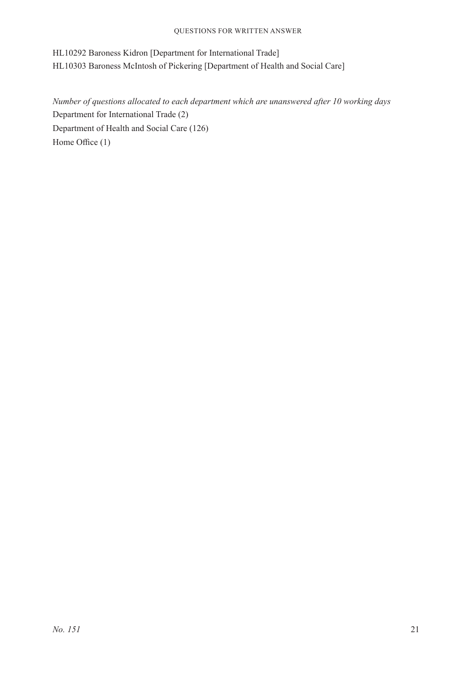HL10292 Baroness Kidron [Department for International Trade] HL10303 Baroness McIntosh of Pickering [Department of Health and Social Care]

*Number of questions allocated to each department which are unanswered after 10 working days* Department for International Trade (2) Department of Health and Social Care (126) Home Office (1)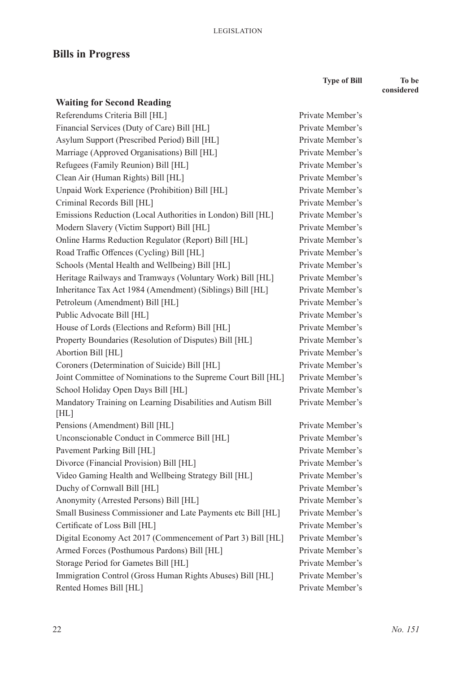# **Bills in Progress**

**Type of Bill To be** 

Private Member's Private Member's Private Member's Private Member's Private Member's Private Member's Private Member's Private Member's Private Member's Private Member's Private Member's Private Member's Private Member's Private Member's Private Member's Private Member's Private Member's Private Member's Private Member's Private Member's Private Member's Private Member's Private Member's

Private Member's

Private Member's Private Member's Private Member's Private Member's Private Member's Private Member's Private Member's Private Member's Private Member's Private Member's Private Member's Private Member's Private Member's Private Member's **considered**

| <b>Waiting for Second Reading</b>                                   |
|---------------------------------------------------------------------|
| Referendums Criteria Bill [HL]                                      |
| Financial Services (Duty of Care) Bill [HL]                         |
| Asylum Support (Prescribed Period) Bill [HL]                        |
| Marriage (Approved Organisations) Bill [HL]                         |
| Refugees (Family Reunion) Bill [HL]                                 |
| Clean Air (Human Rights) Bill [HL]                                  |
| Unpaid Work Experience (Prohibition) Bill [HL]                      |
| Criminal Records Bill [HL]                                          |
| Emissions Reduction (Local Authorities in London) Bill [HL]         |
| Modern Slavery (Victim Support) Bill [HL]                           |
| Online Harms Reduction Regulator (Report) Bill [HL]                 |
| Road Traffic Offences (Cycling) Bill [HL]                           |
| Schools (Mental Health and Wellbeing) Bill [HL]                     |
| Heritage Railways and Tramways (Voluntary Work) Bill [HL]           |
| Inheritance Tax Act 1984 (Amendment) (Siblings) Bill [HL]           |
| Petroleum (Amendment) Bill [HL]                                     |
| Public Advocate Bill [HL]                                           |
| House of Lords (Elections and Reform) Bill [HL]                     |
| Property Boundaries (Resolution of Disputes) Bill [HL]              |
| Abortion Bill [HL]                                                  |
| Coroners (Determination of Suicide) Bill [HL]                       |
| Joint Committee of Nominations to the Supreme Court Bill [HL]       |
| School Holiday Open Days Bill [HL]                                  |
| Mandatory Training on Learning Disabilities and Autism Bill<br>[HL] |
| Pensions (Amendment) Bill [HL]                                      |
| Unconscionable Conduct in Commerce Bill [HL]                        |
| Pavement Parking Bill [HL]                                          |
| Divorce (Financial Provision) Bill [HL]                             |
| Video Gaming Health and Wellbeing Strategy Bill [HL]                |
| Duchy of Cornwall Bill [HL]                                         |
| Anonymity (Arrested Persons) Bill [HL]                              |
| Small Business Commissioner and Late Payments etc Bill [HL]         |
| Certificate of Loss Bill [HL]                                       |
| Digital Economy Act 2017 (Commencement of Part 3) Bill [HL]         |
| Armed Forces (Posthumous Pardons) Bill [HL]                         |
| Storage Period for Gametes Bill [HL]                                |
| Immigration Control (Gross Human Rights Abuses) Bill [HL]           |
| Rented Homes Bill [HL]                                              |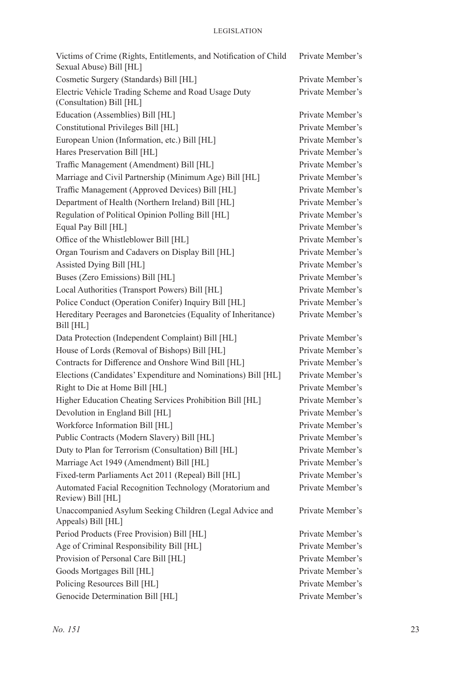| Victims of Crime (Rights, Entitlements, and Notification of Child<br>Sexual Abuse) Bill [HL] | Private Member's |
|----------------------------------------------------------------------------------------------|------------------|
| Cosmetic Surgery (Standards) Bill [HL]                                                       | Private Member's |
| Electric Vehicle Trading Scheme and Road Usage Duty<br>(Consultation) Bill [HL]              | Private Member's |
| Education (Assemblies) Bill [HL]                                                             | Private Member's |
| Constitutional Privileges Bill [HL]                                                          | Private Member's |
| European Union (Information, etc.) Bill [HL]                                                 | Private Member's |
| Hares Preservation Bill [HL]                                                                 | Private Member's |
| Traffic Management (Amendment) Bill [HL]                                                     | Private Member's |
| Marriage and Civil Partnership (Minimum Age) Bill [HL]                                       | Private Member's |
| Traffic Management (Approved Devices) Bill [HL]                                              | Private Member's |
| Department of Health (Northern Ireland) Bill [HL]                                            | Private Member's |
| Regulation of Political Opinion Polling Bill [HL]                                            | Private Member's |
| Equal Pay Bill [HL]                                                                          | Private Member's |
| Office of the Whistleblower Bill [HL]                                                        | Private Member's |
| Organ Tourism and Cadavers on Display Bill [HL]                                              | Private Member's |
| Assisted Dying Bill [HL]                                                                     | Private Member's |
| Buses (Zero Emissions) Bill [HL]                                                             | Private Member's |
| Local Authorities (Transport Powers) Bill [HL]                                               | Private Member's |
| Police Conduct (Operation Conifer) Inquiry Bill [HL]                                         | Private Member's |
| Hereditary Peerages and Baronetcies (Equality of Inheritance)<br>Bill [HL]                   | Private Member's |
| Data Protection (Independent Complaint) Bill [HL]                                            | Private Member's |
| House of Lords (Removal of Bishops) Bill [HL]                                                | Private Member's |
| Contracts for Difference and Onshore Wind Bill [HL]                                          | Private Member's |
| Elections (Candidates' Expenditure and Nominations) Bill [HL]                                | Private Member's |
| Right to Die at Home Bill [HL]                                                               | Private Member's |
| Higher Education Cheating Services Prohibition Bill [HL]                                     | Private Member's |
| Devolution in England Bill [HL]                                                              | Private Member's |
| Workforce Information Bill [HL]                                                              | Private Member's |
| Public Contracts (Modern Slavery) Bill [HL]                                                  | Private Member's |
| Duty to Plan for Terrorism (Consultation) Bill [HL]                                          | Private Member's |
| Marriage Act 1949 (Amendment) Bill [HL]                                                      | Private Member's |
| Fixed-term Parliaments Act 2011 (Repeal) Bill [HL]                                           | Private Member's |
| Automated Facial Recognition Technology (Moratorium and<br>Review) Bill [HL]                 | Private Member's |
| Unaccompanied Asylum Seeking Children (Legal Advice and<br>Appeals) Bill [HL]                | Private Member's |
| Period Products (Free Provision) Bill [HL]                                                   | Private Member's |
| Age of Criminal Responsibility Bill [HL]                                                     | Private Member's |
| Provision of Personal Care Bill [HL]                                                         | Private Member's |
| Goods Mortgages Bill [HL]                                                                    | Private Member's |
| Policing Resources Bill [HL]                                                                 | Private Member's |
| Genocide Determination Bill [HL]                                                             | Private Member's |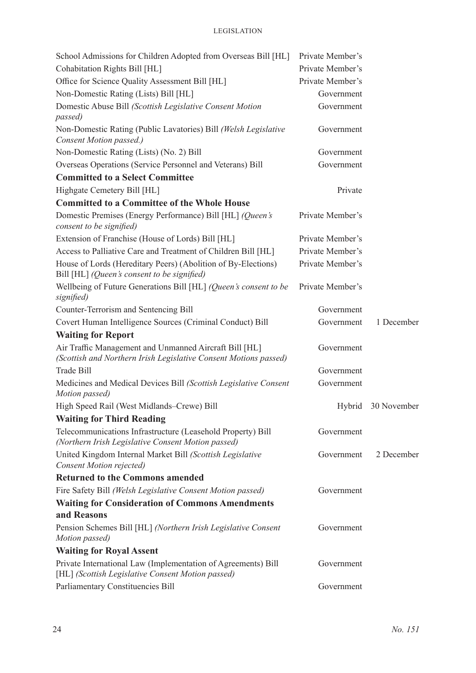| School Admissions for Children Adopted from Overseas Bill [HL]                                                             | Private Member's |                    |
|----------------------------------------------------------------------------------------------------------------------------|------------------|--------------------|
| Cohabitation Rights Bill [HL]                                                                                              | Private Member's |                    |
| Office for Science Quality Assessment Bill [HL]                                                                            | Private Member's |                    |
| Non-Domestic Rating (Lists) Bill [HL]                                                                                      | Government       |                    |
| Domestic Abuse Bill (Scottish Legislative Consent Motion<br>passed)                                                        | Government       |                    |
| Non-Domestic Rating (Public Lavatories) Bill (Welsh Legislative<br>Consent Motion passed.)                                 | Government       |                    |
| Non-Domestic Rating (Lists) (No. 2) Bill                                                                                   | Government       |                    |
| Overseas Operations (Service Personnel and Veterans) Bill                                                                  | Government       |                    |
| <b>Committed to a Select Committee</b>                                                                                     |                  |                    |
| Highgate Cemetery Bill [HL]                                                                                                | Private          |                    |
| <b>Committed to a Committee of the Whole House</b>                                                                         |                  |                    |
| Domestic Premises (Energy Performance) Bill [HL] (Queen's<br>consent to be signified)                                      | Private Member's |                    |
| Extension of Franchise (House of Lords) Bill [HL]                                                                          | Private Member's |                    |
| Access to Palliative Care and Treatment of Children Bill [HL]                                                              | Private Member's |                    |
| House of Lords (Hereditary Peers) (Abolition of By-Elections)<br>Bill [HL] (Queen's consent to be signified)               | Private Member's |                    |
| Wellbeing of Future Generations Bill [HL] (Queen's consent to be<br>signified)                                             | Private Member's |                    |
| Counter-Terrorism and Sentencing Bill                                                                                      | Government       |                    |
| Covert Human Intelligence Sources (Criminal Conduct) Bill                                                                  | Government       | 1 December         |
| <b>Waiting for Report</b>                                                                                                  |                  |                    |
| Air Traffic Management and Unmanned Aircraft Bill [HL]<br>(Scottish and Northern Irish Legislative Consent Motions passed) | Government       |                    |
| <b>Trade Bill</b>                                                                                                          | Government       |                    |
| Medicines and Medical Devices Bill (Scottish Legislative Consent<br>Motion passed)                                         | Government       |                    |
| High Speed Rail (West Midlands–Crewe) Bill                                                                                 |                  | Hybrid 30 November |
| <b>Waiting for Third Reading</b>                                                                                           |                  |                    |
| Telecommunications Infrastructure (Leasehold Property) Bill<br>(Northern Irish Legislative Consent Motion passed)          | Government       |                    |
| United Kingdom Internal Market Bill (Scottish Legislative<br>Consent Motion rejected)                                      | Government       | 2 December         |
| <b>Returned to the Commons amended</b>                                                                                     |                  |                    |
| Fire Safety Bill (Welsh Legislative Consent Motion passed)                                                                 | Government       |                    |
| <b>Waiting for Consideration of Commons Amendments</b>                                                                     |                  |                    |
| and Reasons                                                                                                                |                  |                    |
| Pension Schemes Bill [HL] (Northern Irish Legislative Consent<br>Motion passed)                                            | Government       |                    |
| <b>Waiting for Royal Assent</b>                                                                                            |                  |                    |
| Private International Law (Implementation of Agreements) Bill<br>[HL] (Scottish Legislative Consent Motion passed)         | Government       |                    |
| Parliamentary Constituencies Bill                                                                                          | Government       |                    |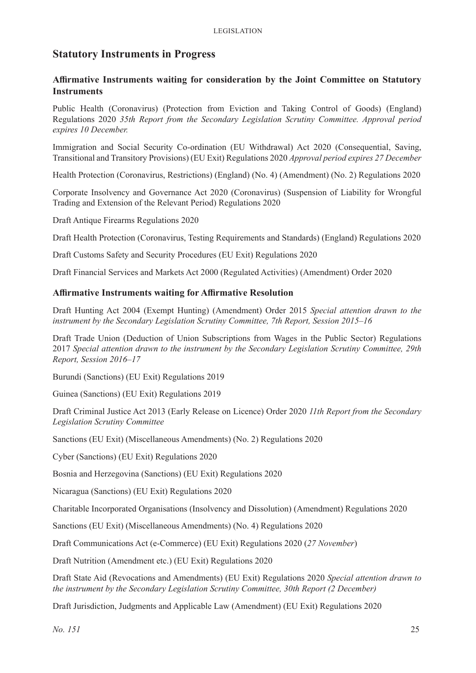# **Statutory Instruments in Progress**

#### **Affirmative Instruments waiting for consideration by the Joint Committee on Statutory Instruments**

Public Health (Coronavirus) (Protection from Eviction and Taking Control of Goods) (England) Regulations 2020 *35th Report from the Secondary Legislation Scrutiny Committee. Approval period expires 10 December.*

Immigration and Social Security Co-ordination (EU Withdrawal) Act 2020 (Consequential, Saving, Transitional and Transitory Provisions) (EU Exit) Regulations 2020 *Approval period expires 27 December*

Health Protection (Coronavirus, Restrictions) (England) (No. 4) (Amendment) (No. 2) Regulations 2020

Corporate Insolvency and Governance Act 2020 (Coronavirus) (Suspension of Liability for Wrongful Trading and Extension of the Relevant Period) Regulations 2020

Draft Antique Firearms Regulations 2020

Draft Health Protection (Coronavirus, Testing Requirements and Standards) (England) Regulations 2020

Draft Customs Safety and Security Procedures (EU Exit) Regulations 2020

Draft Financial Services and Markets Act 2000 (Regulated Activities) (Amendment) Order 2020

#### **Affirmative Instruments waiting for Affirmative Resolution**

Draft Hunting Act 2004 (Exempt Hunting) (Amendment) Order 2015 *Special attention drawn to the instrument by the Secondary Legislation Scrutiny Committee, 7th Report, Session 2015–16*

Draft Trade Union (Deduction of Union Subscriptions from Wages in the Public Sector) Regulations 2017 *Special attention drawn to the instrument by the Secondary Legislation Scrutiny Committee, 29th Report, Session 2016–17*

Burundi (Sanctions) (EU Exit) Regulations 2019

Guinea (Sanctions) (EU Exit) Regulations 2019

Draft Criminal Justice Act 2013 (Early Release on Licence) Order 2020 *11th Report from the Secondary Legislation Scrutiny Committee*

Sanctions (EU Exit) (Miscellaneous Amendments) (No. 2) Regulations 2020

Cyber (Sanctions) (EU Exit) Regulations 2020

Bosnia and Herzegovina (Sanctions) (EU Exit) Regulations 2020

Nicaragua (Sanctions) (EU Exit) Regulations 2020

Charitable Incorporated Organisations (Insolvency and Dissolution) (Amendment) Regulations 2020

Sanctions (EU Exit) (Miscellaneous Amendments) (No. 4) Regulations 2020

Draft Communications Act (e-Commerce) (EU Exit) Regulations 2020 (*27 November*)

Draft Nutrition (Amendment etc.) (EU Exit) Regulations 2020

Draft State Aid (Revocations and Amendments) (EU Exit) Regulations 2020 *Special attention drawn to the instrument by the Secondary Legislation Scrutiny Committee, 30th Report (2 December)*

Draft Jurisdiction, Judgments and Applicable Law (Amendment) (EU Exit) Regulations 2020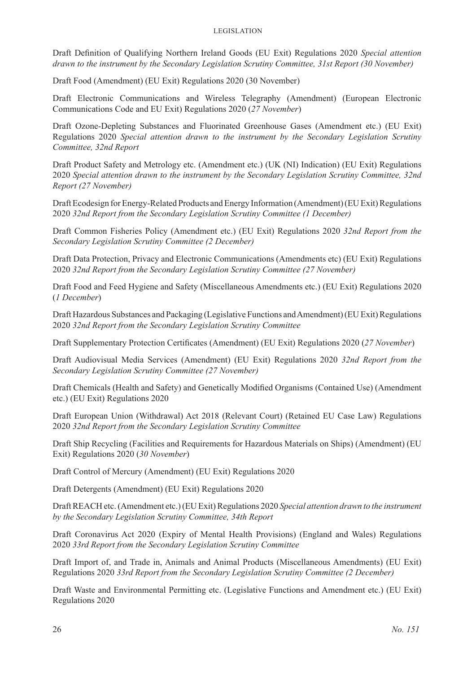#### Legislation

Draft Definition of Qualifying Northern Ireland Goods (EU Exit) Regulations 2020 *Special attention drawn to the instrument by the Secondary Legislation Scrutiny Committee, 31st Report (30 November)*

Draft Food (Amendment) (EU Exit) Regulations 2020 (30 November)

Draft Electronic Communications and Wireless Telegraphy (Amendment) (European Electronic Communications Code and EU Exit) Regulations 2020 (*27 November*)

Draft Ozone-Depleting Substances and Fluorinated Greenhouse Gases (Amendment etc.) (EU Exit) Regulations 2020 *Special attention drawn to the instrument by the Secondary Legislation Scrutiny Committee, 32nd Report*

Draft Product Safety and Metrology etc. (Amendment etc.) (UK (NI) Indication) (EU Exit) Regulations 2020 *Special attention drawn to the instrument by the Secondary Legislation Scrutiny Committee, 32nd Report (27 November)*

Draft Ecodesign for Energy-Related Products and Energy Information (Amendment) (EU Exit) Regulations 2020 *32nd Report from the Secondary Legislation Scrutiny Committee (1 December)*

Draft Common Fisheries Policy (Amendment etc.) (EU Exit) Regulations 2020 *32nd Report from the Secondary Legislation Scrutiny Committee (2 December)*

Draft Data Protection, Privacy and Electronic Communications (Amendments etc) (EU Exit) Regulations 2020 *32nd Report from the Secondary Legislation Scrutiny Committee (27 November)*

Draft Food and Feed Hygiene and Safety (Miscellaneous Amendments etc.) (EU Exit) Regulations 2020 (*1 December*)

Draft Hazardous Substances and Packaging (Legislative Functions and Amendment) (EU Exit) Regulations 2020 *32nd Report from the Secondary Legislation Scrutiny Committee*

Draft Supplementary Protection Certificates (Amendment) (EU Exit) Regulations 2020 (*27 November*)

Draft Audiovisual Media Services (Amendment) (EU Exit) Regulations 2020 *32nd Report from the Secondary Legislation Scrutiny Committee (27 November)*

Draft Chemicals (Health and Safety) and Genetically Modified Organisms (Contained Use) (Amendment etc.) (EU Exit) Regulations 2020

Draft European Union (Withdrawal) Act 2018 (Relevant Court) (Retained EU Case Law) Regulations 2020 *32nd Report from the Secondary Legislation Scrutiny Committee*

Draft Ship Recycling (Facilities and Requirements for Hazardous Materials on Ships) (Amendment) (EU Exit) Regulations 2020 (*30 November*)

Draft Control of Mercury (Amendment) (EU Exit) Regulations 2020

Draft Detergents (Amendment) (EU Exit) Regulations 2020

Draft REACH etc. (Amendment etc.) (EU Exit) Regulations 2020 *Special attention drawn to the instrument by the Secondary Legislation Scrutiny Committee, 34th Report*

Draft Coronavirus Act 2020 (Expiry of Mental Health Provisions) (England and Wales) Regulations 2020 *33rd Report from the Secondary Legislation Scrutiny Committee*

Draft Import of, and Trade in, Animals and Animal Products (Miscellaneous Amendments) (EU Exit) Regulations 2020 *33rd Report from the Secondary Legislation Scrutiny Committee (2 December)*

Draft Waste and Environmental Permitting etc. (Legislative Functions and Amendment etc.) (EU Exit) Regulations 2020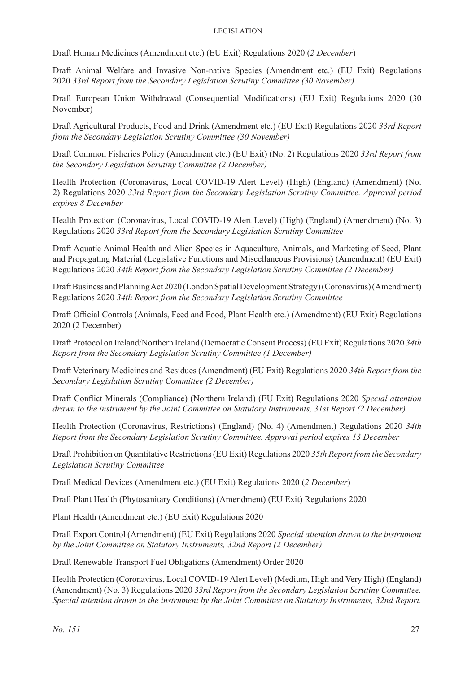Draft Human Medicines (Amendment etc.) (EU Exit) Regulations 2020 (*2 December*)

Draft Animal Welfare and Invasive Non-native Species (Amendment etc.) (EU Exit) Regulations 2020 *33rd Report from the Secondary Legislation Scrutiny Committee (30 November)*

Draft European Union Withdrawal (Consequential Modifications) (EU Exit) Regulations 2020 (30 November)

Draft Agricultural Products, Food and Drink (Amendment etc.) (EU Exit) Regulations 2020 *33rd Report from the Secondary Legislation Scrutiny Committee (30 November)*

Draft Common Fisheries Policy (Amendment etc.) (EU Exit) (No. 2) Regulations 2020 *33rd Report from the Secondary Legislation Scrutiny Committee (2 December)*

Health Protection (Coronavirus, Local COVID-19 Alert Level) (High) (England) (Amendment) (No. 2) Regulations 2020 *33rd Report from the Secondary Legislation Scrutiny Committee. Approval period expires 8 December*

Health Protection (Coronavirus, Local COVID-19 Alert Level) (High) (England) (Amendment) (No. 3) Regulations 2020 *33rd Report from the Secondary Legislation Scrutiny Committee*

Draft Aquatic Animal Health and Alien Species in Aquaculture, Animals, and Marketing of Seed, Plant and Propagating Material (Legislative Functions and Miscellaneous Provisions) (Amendment) (EU Exit) Regulations 2020 *34th Report from the Secondary Legislation Scrutiny Committee (2 December)*

Draft Business and Planning Act 2020 (London Spatial Development Strategy) (Coronavirus) (Amendment) Regulations 2020 *34th Report from the Secondary Legislation Scrutiny Committee*

Draft Official Controls (Animals, Feed and Food, Plant Health etc.) (Amendment) (EU Exit) Regulations 2020 (2 December)

Draft Protocol on Ireland/Northern Ireland (Democratic Consent Process) (EU Exit) Regulations 2020 *34th Report from the Secondary Legislation Scrutiny Committee (1 December)*

Draft Veterinary Medicines and Residues (Amendment) (EU Exit) Regulations 2020 *34th Report from the Secondary Legislation Scrutiny Committee (2 December)*

Draft Conflict Minerals (Compliance) (Northern Ireland) (EU Exit) Regulations 2020 *Special attention drawn to the instrument by the Joint Committee on Statutory Instruments, 31st Report (2 December)*

Health Protection (Coronavirus, Restrictions) (England) (No. 4) (Amendment) Regulations 2020 *34th Report from the Secondary Legislation Scrutiny Committee. Approval period expires 13 December*

Draft Prohibition on Quantitative Restrictions (EU Exit) Regulations 2020 *35th Report from the Secondary Legislation Scrutiny Committee*

Draft Medical Devices (Amendment etc.) (EU Exit) Regulations 2020 (*2 December*)

Draft Plant Health (Phytosanitary Conditions) (Amendment) (EU Exit) Regulations 2020

Plant Health (Amendment etc.) (EU Exit) Regulations 2020

Draft Export Control (Amendment) (EU Exit) Regulations 2020 *Special attention drawn to the instrument by the Joint Committee on Statutory Instruments, 32nd Report (2 December)*

Draft Renewable Transport Fuel Obligations (Amendment) Order 2020

Health Protection (Coronavirus, Local COVID-19 Alert Level) (Medium, High and Very High) (England) (Amendment) (No. 3) Regulations 2020 *33rd Report from the Secondary Legislation Scrutiny Committee. Special attention drawn to the instrument by the Joint Committee on Statutory Instruments, 32nd Report.*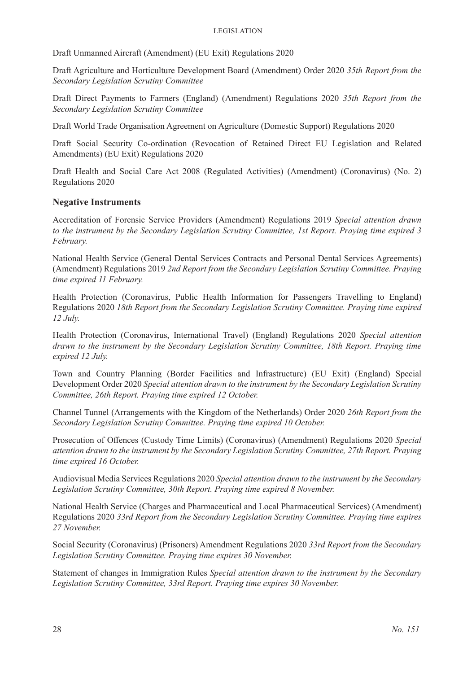Draft Unmanned Aircraft (Amendment) (EU Exit) Regulations 2020

Draft Agriculture and Horticulture Development Board (Amendment) Order 2020 *35th Report from the Secondary Legislation Scrutiny Committee*

Draft Direct Payments to Farmers (England) (Amendment) Regulations 2020 *35th Report from the Secondary Legislation Scrutiny Committee*

Draft World Trade Organisation Agreement on Agriculture (Domestic Support) Regulations 2020

Draft Social Security Co-ordination (Revocation of Retained Direct EU Legislation and Related Amendments) (EU Exit) Regulations 2020

Draft Health and Social Care Act 2008 (Regulated Activities) (Amendment) (Coronavirus) (No. 2) Regulations 2020

#### **Negative Instruments**

Accreditation of Forensic Service Providers (Amendment) Regulations 2019 *Special attention drawn to the instrument by the Secondary Legislation Scrutiny Committee, 1st Report. Praying time expired 3 February.* 

National Health Service (General Dental Services Contracts and Personal Dental Services Agreements) (Amendment) Regulations 2019 *2nd Report from the Secondary Legislation Scrutiny Committee. Praying time expired 11 February.* 

Health Protection (Coronavirus, Public Health Information for Passengers Travelling to England) Regulations 2020 *18th Report from the Secondary Legislation Scrutiny Committee. Praying time expired 12 July.* 

Health Protection (Coronavirus, International Travel) (England) Regulations 2020 *Special attention drawn to the instrument by the Secondary Legislation Scrutiny Committee, 18th Report. Praying time expired 12 July.* 

Town and Country Planning (Border Facilities and Infrastructure) (EU Exit) (England) Special Development Order 2020 *Special attention drawn to the instrument by the Secondary Legislation Scrutiny Committee, 26th Report. Praying time expired 12 October.*

Channel Tunnel (Arrangements with the Kingdom of the Netherlands) Order 2020 *26th Report from the Secondary Legislation Scrutiny Committee. Praying time expired 10 October.*

Prosecution of Offences (Custody Time Limits) (Coronavirus) (Amendment) Regulations 2020 *Special attention drawn to the instrument by the Secondary Legislation Scrutiny Committee, 27th Report. Praying time expired 16 October.*

Audiovisual Media Services Regulations 2020 *Special attention drawn to the instrument by the Secondary Legislation Scrutiny Committee, 30th Report. Praying time expired 8 November.*

National Health Service (Charges and Pharmaceutical and Local Pharmaceutical Services) (Amendment) Regulations 2020 *33rd Report from the Secondary Legislation Scrutiny Committee. Praying time expires 27 November.*

Social Security (Coronavirus) (Prisoners) Amendment Regulations 2020 *33rd Report from the Secondary Legislation Scrutiny Committee. Praying time expires 30 November.*

Statement of changes in Immigration Rules *Special attention drawn to the instrument by the Secondary Legislation Scrutiny Committee, 33rd Report. Praying time expires 30 November.*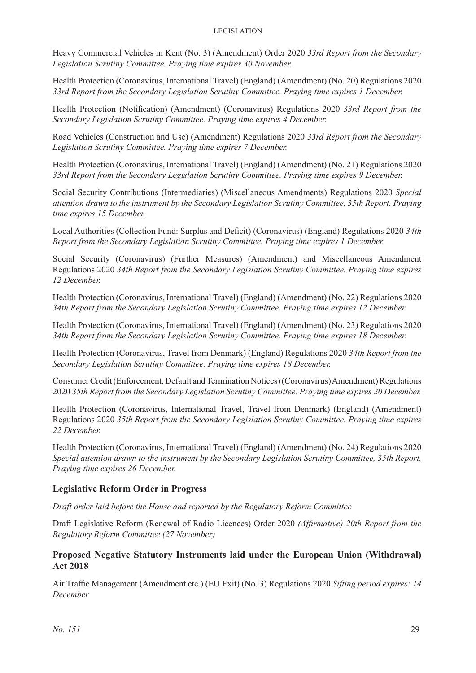Heavy Commercial Vehicles in Kent (No. 3) (Amendment) Order 2020 *33rd Report from the Secondary Legislation Scrutiny Committee. Praying time expires 30 November.*

Health Protection (Coronavirus, International Travel) (England) (Amendment) (No. 20) Regulations 2020 *33rd Report from the Secondary Legislation Scrutiny Committee. Praying time expires 1 December.*

Health Protection (Notification) (Amendment) (Coronavirus) Regulations 2020 *33rd Report from the Secondary Legislation Scrutiny Committee. Praying time expires 4 December.*

Road Vehicles (Construction and Use) (Amendment) Regulations 2020 *33rd Report from the Secondary Legislation Scrutiny Committee. Praying time expires 7 December.*

Health Protection (Coronavirus, International Travel) (England) (Amendment) (No. 21) Regulations 2020 *33rd Report from the Secondary Legislation Scrutiny Committee. Praying time expires 9 December.*

Social Security Contributions (Intermediaries) (Miscellaneous Amendments) Regulations 2020 *Special attention drawn to the instrument by the Secondary Legislation Scrutiny Committee, 35th Report. Praying time expires 15 December.*

Local Authorities (Collection Fund: Surplus and Deficit) (Coronavirus) (England) Regulations 2020 *34th Report from the Secondary Legislation Scrutiny Committee. Praying time expires 1 December.*

Social Security (Coronavirus) (Further Measures) (Amendment) and Miscellaneous Amendment Regulations 2020 *34th Report from the Secondary Legislation Scrutiny Committee. Praying time expires 12 December.*

Health Protection (Coronavirus, International Travel) (England) (Amendment) (No. 22) Regulations 2020 *34th Report from the Secondary Legislation Scrutiny Committee. Praying time expires 12 December.*

Health Protection (Coronavirus, International Travel) (England) (Amendment) (No. 23) Regulations 2020 *34th Report from the Secondary Legislation Scrutiny Committee. Praying time expires 18 December.*

Health Protection (Coronavirus, Travel from Denmark) (England) Regulations 2020 *34th Report from the Secondary Legislation Scrutiny Committee. Praying time expires 18 December.*

Consumer Credit (Enforcement, Default and Termination Notices) (Coronavirus) Amendment) Regulations 2020 *35th Report from the Secondary Legislation Scrutiny Committee. Praying time expires 20 December.*

Health Protection (Coronavirus, International Travel, Travel from Denmark) (England) (Amendment) Regulations 2020 *35th Report from the Secondary Legislation Scrutiny Committee. Praying time expires 22 December.*

Health Protection (Coronavirus, International Travel) (England) (Amendment) (No. 24) Regulations 2020 *Special attention drawn to the instrument by the Secondary Legislation Scrutiny Committee, 35th Report. Praying time expires 26 December.*

#### **Legislative Reform Order in Progress**

*Draft order laid before the House and reported by the Regulatory Reform Committee*

Draft Legislative Reform (Renewal of Radio Licences) Order 2020 *(Affirmative) 20th Report from the Regulatory Reform Committee (27 November)*

#### **Proposed Negative Statutory Instruments laid under the European Union (Withdrawal) Act 2018**

Air Traffic Management (Amendment etc.) (EU Exit) (No. 3) Regulations 2020 *Sifting period expires: 14 December*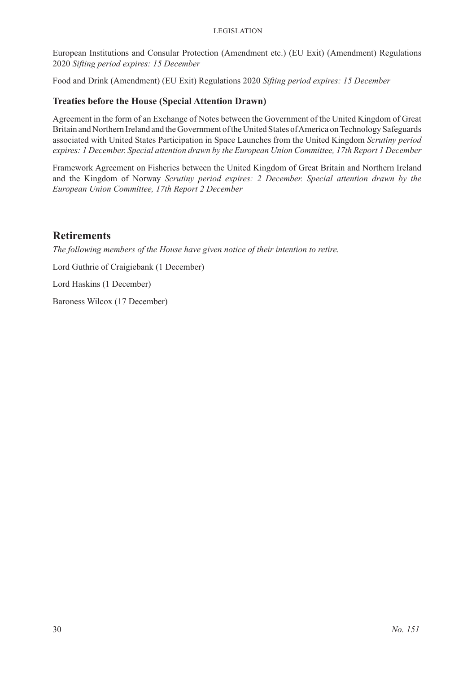#### Legislation

European Institutions and Consular Protection (Amendment etc.) (EU Exit) (Amendment) Regulations 2020 *Sifting period expires: 15 December*

Food and Drink (Amendment) (EU Exit) Regulations 2020 *Sifting period expires: 15 December*

#### **Treaties before the House (Special Attention Drawn)**

Agreement in the form of an Exchange of Notes between the Government of the United Kingdom of Great Britain and Northern Ireland and the Government of the United States of America on Technology Safeguards associated with United States Participation in Space Launches from the United Kingdom *Scrutiny period expires: 1 December. Special attention drawn by the European Union Committee, 17th Report 1 December*

Framework Agreement on Fisheries between the United Kingdom of Great Britain and Northern Ireland and the Kingdom of Norway *Scrutiny period expires: 2 December. Special attention drawn by the European Union Committee, 17th Report 2 December*

# **Retirements**

*The following members of the House have given notice of their intention to retire.*

Lord Guthrie of Craigiebank (1 December)

Lord Haskins (1 December)

Baroness Wilcox (17 December)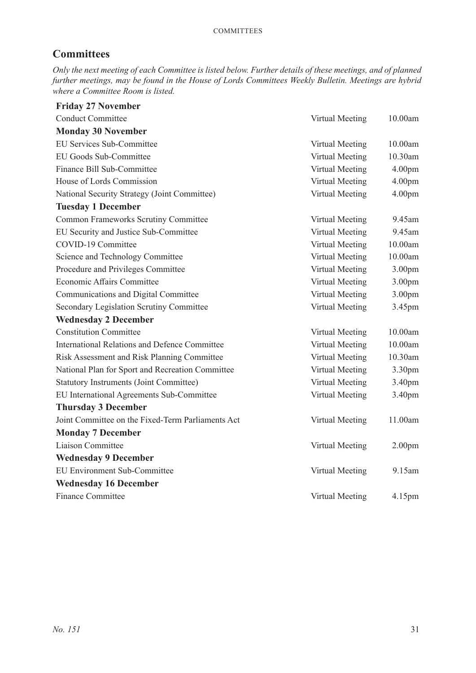# **Committees**

*Only the next meeting of each Committee is listed below. Further details of these meetings, and of planned further meetings, may be found in the House of Lords Committees Weekly Bulletin. Meetings are hybrid where a Committee Room is listed.*

| <b>Friday 27 November</b>                            |                 |                    |
|------------------------------------------------------|-----------------|--------------------|
| <b>Conduct Committee</b>                             | Virtual Meeting | 10.00am            |
| <b>Monday 30 November</b>                            |                 |                    |
| EU Services Sub-Committee                            | Virtual Meeting | 10.00am            |
| EU Goods Sub-Committee                               | Virtual Meeting | 10.30am            |
| Finance Bill Sub-Committee                           | Virtual Meeting | 4.00 <sub>pm</sub> |
| House of Lords Commission                            | Virtual Meeting | 4.00 <sub>pm</sub> |
| National Security Strategy (Joint Committee)         | Virtual Meeting | 4.00 <sub>pm</sub> |
| <b>Tuesday 1 December</b>                            |                 |                    |
| <b>Common Frameworks Scrutiny Committee</b>          | Virtual Meeting | 9.45am             |
| EU Security and Justice Sub-Committee                | Virtual Meeting | 9.45am             |
| COVID-19 Committee                                   | Virtual Meeting | 10.00am            |
| Science and Technology Committee                     | Virtual Meeting | 10.00am            |
| Procedure and Privileges Committee                   | Virtual Meeting | 3.00 <sub>pm</sub> |
| Economic Affairs Committee                           | Virtual Meeting | 3.00pm             |
| Communications and Digital Committee                 | Virtual Meeting | 3.00pm             |
| <b>Secondary Legislation Scrutiny Committee</b>      | Virtual Meeting | 3.45pm             |
| <b>Wednesday 2 December</b>                          |                 |                    |
| <b>Constitution Committee</b>                        | Virtual Meeting | 10.00am            |
| <b>International Relations and Defence Committee</b> | Virtual Meeting | 10.00am            |
| Risk Assessment and Risk Planning Committee          | Virtual Meeting | 10.30am            |
| National Plan for Sport and Recreation Committee     | Virtual Meeting | 3.30pm             |
| <b>Statutory Instruments (Joint Committee)</b>       | Virtual Meeting | 3.40pm             |
| EU International Agreements Sub-Committee            | Virtual Meeting | 3.40pm             |
| <b>Thursday 3 December</b>                           |                 |                    |
| Joint Committee on the Fixed-Term Parliaments Act    | Virtual Meeting | 11.00am            |
| <b>Monday 7 December</b>                             |                 |                    |
| Liaison Committee                                    | Virtual Meeting | 2.00 <sub>pm</sub> |
| <b>Wednesday 9 December</b>                          |                 |                    |
| <b>EU Environment Sub-Committee</b>                  | Virtual Meeting | 9.15am             |
| <b>Wednesday 16 December</b>                         |                 |                    |
| <b>Finance Committee</b>                             | Virtual Meeting | 4.15pm             |
|                                                      |                 |                    |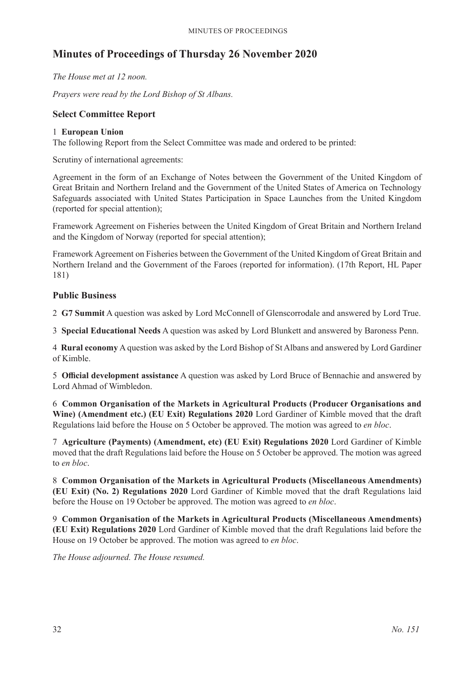# **Minutes of Proceedings of Thursday 26 November 2020**

*The House met at 12 noon.*

*Prayers were read by the Lord Bishop of St Albans.*

#### **Select Committee Report**

#### 1 **European Union**

The following Report from the Select Committee was made and ordered to be printed:

Scrutiny of international agreements:

Agreement in the form of an Exchange of Notes between the Government of the United Kingdom of Great Britain and Northern Ireland and the Government of the United States of America on Technology Safeguards associated with United States Participation in Space Launches from the United Kingdom (reported for special attention);

Framework Agreement on Fisheries between the United Kingdom of Great Britain and Northern Ireland and the Kingdom of Norway (reported for special attention);

Framework Agreement on Fisheries between the Government of the United Kingdom of Great Britain and Northern Ireland and the Government of the Faroes (reported for information). (17th Report, HL Paper 181)

#### **Public Business**

2 **G7 Summit** A question was asked by Lord McConnell of Glenscorrodale and answered by Lord True.

3 **Special Educational Needs** A question was asked by Lord Blunkett and answered by Baroness Penn.

4 **Rural economy** A question was asked by the Lord Bishop of St Albans and answered by Lord Gardiner of Kimble.

5 **Official development assistance** A question was asked by Lord Bruce of Bennachie and answered by Lord Ahmad of Wimbledon.

6 **Common Organisation of the Markets in Agricultural Products (Producer Organisations and Wine) (Amendment etc.) (EU Exit) Regulations 2020** Lord Gardiner of Kimble moved that the draft Regulations laid before the House on 5 October be approved. The motion was agreed to *en bloc*.

7 **Agriculture (Payments) (Amendment, etc) (EU Exit) Regulations 2020** Lord Gardiner of Kimble moved that the draft Regulations laid before the House on 5 October be approved. The motion was agreed to *en bloc*.

8 **Common Organisation of the Markets in Agricultural Products (Miscellaneous Amendments) (EU Exit) (No. 2) Regulations 2020** Lord Gardiner of Kimble moved that the draft Regulations laid before the House on 19 October be approved. The motion was agreed to *en bloc*.

9 **Common Organisation of the Markets in Agricultural Products (Miscellaneous Amendments) (EU Exit) Regulations 2020** Lord Gardiner of Kimble moved that the draft Regulations laid before the House on 19 October be approved. The motion was agreed to *en bloc*.

*The House adjourned. The House resumed.*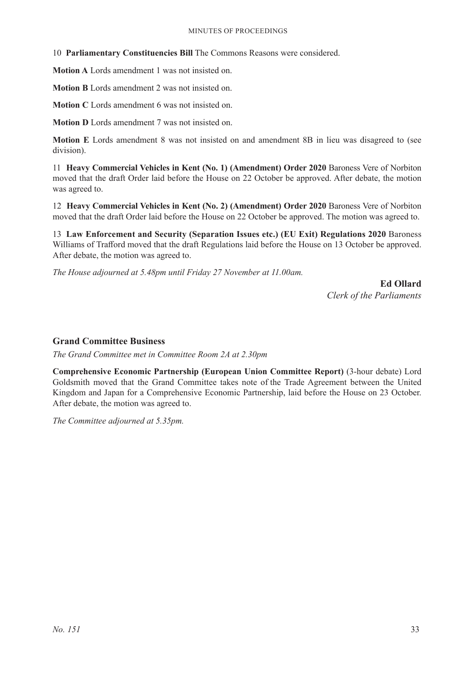10 **Parliamentary Constituencies Bill** The Commons Reasons were considered.

**Motion A** Lords amendment 1 was not insisted on.

**Motion B** Lords amendment 2 was not insisted on.

**Motion C** Lords amendment 6 was not insisted on.

**Motion D** Lords amendment 7 was not insisted on.

**Motion E** Lords amendment 8 was not insisted on and amendment 8B in lieu was disagreed to (see division).

11 **Heavy Commercial Vehicles in Kent (No. 1) (Amendment) Order 2020** Baroness Vere of Norbiton moved that the draft Order laid before the House on 22 October be approved. After debate, the motion was agreed to.

12 **Heavy Commercial Vehicles in Kent (No. 2) (Amendment) Order 2020** Baroness Vere of Norbiton moved that the draft Order laid before the House on 22 October be approved. The motion was agreed to.

13 **Law Enforcement and Security (Separation Issues etc.) (EU Exit) Regulations 2020** Baroness Williams of Trafford moved that the draft Regulations laid before the House on 13 October be approved. After debate, the motion was agreed to.

*The House adjourned at 5.48pm until Friday 27 November at 11.00am.*

**Ed Ollard** *Clerk of the Parliaments*

#### **Grand Committee Business**

*The Grand Committee met in Committee Room 2A at 2.30pm*

**Comprehensive Economic Partnership (European Union Committee Report)** (3-hour debate) Lord Goldsmith moved that the Grand Committee takes note of the Trade Agreement between the United Kingdom and Japan for a Comprehensive Economic Partnership, laid before the House on 23 October. After debate, the motion was agreed to.

*The Committee adjourned at 5.35pm.*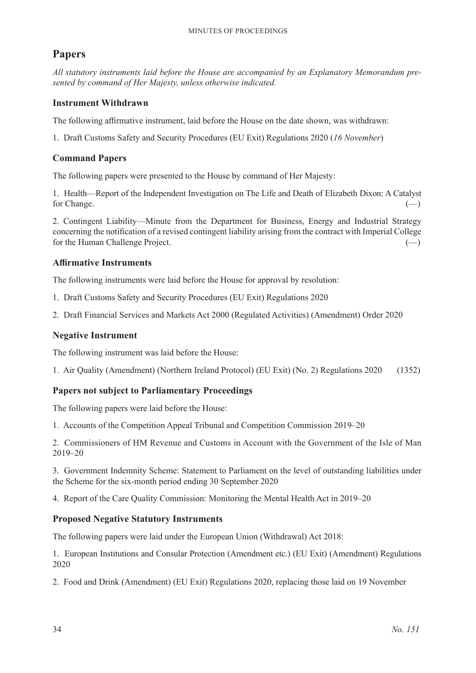# **Papers**

*All statutory instruments laid before the House are accompanied by an Explanatory Memorandum presented by command of Her Majesty, unless otherwise indicated.*

#### **Instrument Withdrawn**

The following affirmative instrument, laid before the House on the date shown, was withdrawn:

1. Draft Customs Safety and Security Procedures (EU Exit) Regulations 2020 (*16 November*)

#### **Command Papers**

The following papers were presented to the House by command of Her Majesty:

1. Health—Report of the Independent Investigation on The Life and Death of Elizabeth Dixon: A Catalyst for Change.  $\qquad \qquad \qquad (-)$ 

2. Contingent Liability—Minute from the Department for Business, Energy and Industrial Strategy concerning the notification of a revised contingent liability arising from the contract with Imperial College for the Human Challenge Project. (–)

#### **Affirmative Instruments**

The following instruments were laid before the House for approval by resolution:

- 1. Draft Customs Safety and Security Procedures (EU Exit) Regulations 2020
- 2. Draft Financial Services and Markets Act 2000 (Regulated Activities) (Amendment) Order 2020

#### **Negative Instrument**

The following instrument was laid before the House:

1. Air Quality (Amendment) (Northern Ireland Protocol) (EU Exit) (No. 2) Regulations 2020 (1352)

#### **Papers not subject to Parliamentary Proceedings**

The following papers were laid before the House:

1. Accounts of the Competition Appeal Tribunal and Competition Commission 2019–20

2. Commissioners of HM Revenue and Customs in Account with the Government of the Isle of Man 2019–20

3. Government Indemnity Scheme: Statement to Parliament on the level of outstanding liabilities under the Scheme for the six-month period ending 30 September 2020

4. Report of the Care Quality Commission: Monitoring the Mental Health Act in 2019–20

#### **Proposed Negative Statutory Instruments**

The following papers were laid under the European Union (Withdrawal) Act 2018:

1. European Institutions and Consular Protection (Amendment etc.) (EU Exit) (Amendment) Regulations 2020

2. Food and Drink (Amendment) (EU Exit) Regulations 2020, replacing those laid on 19 November